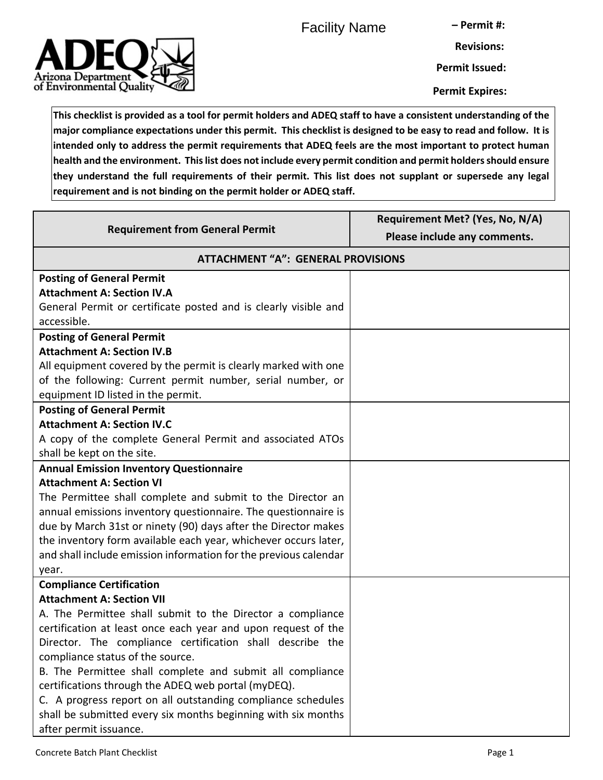Facility Name

**– Permit #:**



**Revisions: Permit Issued:**

**Permit Expires:**

**This checklist is provided as a tool for permit holders and ADEQ staff to have a consistent understanding of the major compliance expectations under this permit. This checklist is designed to be easy to read and follow. It is intended only to address the permit requirements that ADEQ feels are the most important to protect human health and the environment. This list does not include every permit condition and permit holders should ensure they understand the full requirements of their permit. This list does not supplant or supersede any legal requirement and is not binding on the permit holder or ADEQ staff.**

| <b>Requirement from General Permit</b>                                                                                      | Requirement Met? (Yes, No, N/A)<br>Please include any comments. |
|-----------------------------------------------------------------------------------------------------------------------------|-----------------------------------------------------------------|
| <b>ATTACHMENT "A": GENERAL PROVISIONS</b>                                                                                   |                                                                 |
| <b>Posting of General Permit</b>                                                                                            |                                                                 |
| <b>Attachment A: Section IV.A</b>                                                                                           |                                                                 |
| General Permit or certificate posted and is clearly visible and                                                             |                                                                 |
| accessible.                                                                                                                 |                                                                 |
| <b>Posting of General Permit</b>                                                                                            |                                                                 |
| <b>Attachment A: Section IV.B</b>                                                                                           |                                                                 |
| All equipment covered by the permit is clearly marked with one                                                              |                                                                 |
| of the following: Current permit number, serial number, or<br>equipment ID listed in the permit.                            |                                                                 |
| <b>Posting of General Permit</b>                                                                                            |                                                                 |
| <b>Attachment A: Section IV.C</b>                                                                                           |                                                                 |
| A copy of the complete General Permit and associated ATOs                                                                   |                                                                 |
| shall be kept on the site.                                                                                                  |                                                                 |
| <b>Annual Emission Inventory Questionnaire</b>                                                                              |                                                                 |
| <b>Attachment A: Section VI</b>                                                                                             |                                                                 |
| The Permittee shall complete and submit to the Director an                                                                  |                                                                 |
| annual emissions inventory questionnaire. The questionnaire is                                                              |                                                                 |
| due by March 31st or ninety (90) days after the Director makes                                                              |                                                                 |
| the inventory form available each year, whichever occurs later,                                                             |                                                                 |
| and shall include emission information for the previous calendar                                                            |                                                                 |
| year.                                                                                                                       |                                                                 |
| <b>Compliance Certification</b>                                                                                             |                                                                 |
| <b>Attachment A: Section VII</b>                                                                                            |                                                                 |
| A. The Permittee shall submit to the Director a compliance<br>certification at least once each year and upon request of the |                                                                 |
| Director. The compliance certification shall describe the                                                                   |                                                                 |
| compliance status of the source.                                                                                            |                                                                 |
| B. The Permittee shall complete and submit all compliance                                                                   |                                                                 |
| certifications through the ADEQ web portal (myDEQ).                                                                         |                                                                 |
| C. A progress report on all outstanding compliance schedules                                                                |                                                                 |
| shall be submitted every six months beginning with six months                                                               |                                                                 |
| after permit issuance.                                                                                                      |                                                                 |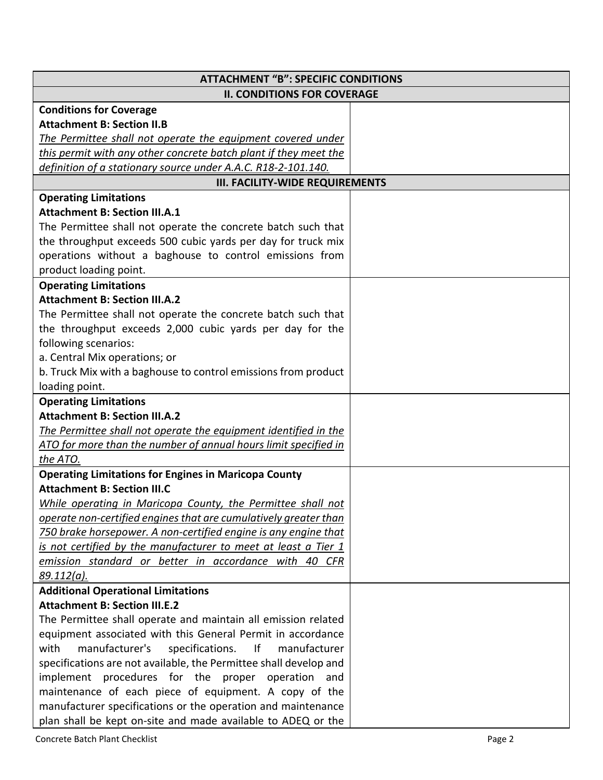| <b>ATTACHMENT "B": SPECIFIC CONDITIONS</b>                                        |  |
|-----------------------------------------------------------------------------------|--|
| <b>II. CONDITIONS FOR COVERAGE</b>                                                |  |
| <b>Conditions for Coverage</b>                                                    |  |
| <b>Attachment B: Section II.B</b>                                                 |  |
| The Permittee shall not operate the equipment covered under                       |  |
| this permit with any other concrete batch plant if they meet the                  |  |
| definition of a stationary source under A.A.C. R18-2-101.140.                     |  |
| <b>III. FACILITY-WIDE REQUIREMENTS</b>                                            |  |
| <b>Operating Limitations</b>                                                      |  |
| <b>Attachment B: Section III.A.1</b>                                              |  |
| The Permittee shall not operate the concrete batch such that                      |  |
| the throughput exceeds 500 cubic yards per day for truck mix                      |  |
| operations without a baghouse to control emissions from                           |  |
| product loading point.                                                            |  |
| <b>Operating Limitations</b>                                                      |  |
| <b>Attachment B: Section III.A.2</b>                                              |  |
| The Permittee shall not operate the concrete batch such that                      |  |
| the throughput exceeds 2,000 cubic yards per day for the                          |  |
| following scenarios:                                                              |  |
| a. Central Mix operations; or                                                     |  |
| b. Truck Mix with a baghouse to control emissions from product                    |  |
| loading point.                                                                    |  |
| <b>Operating Limitations</b>                                                      |  |
| <b>Attachment B: Section III.A.2</b>                                              |  |
| The Permittee shall not operate the equipment identified in the                   |  |
| ATO for more than the number of annual hours limit specified in                   |  |
| the ATO.                                                                          |  |
| <b>Operating Limitations for Engines in Maricopa County</b>                       |  |
| <b>Attachment B: Section III.C</b>                                                |  |
| While operating in Maricopa County, the Permittee shall not                       |  |
| operate non-certified engines that are cumulatively greater than                  |  |
| 750 brake horsepower. A non-certified engine is any engine that                   |  |
| is not certified by the manufacturer to meet at least a Tier 1                    |  |
| emission standard or better in accordance with 40 CFR                             |  |
| 89.112(a).                                                                        |  |
| <b>Additional Operational Limitations</b><br><b>Attachment B: Section III.E.2</b> |  |
| The Permittee shall operate and maintain all emission related                     |  |
| equipment associated with this General Permit in accordance                       |  |
| manufacturer's<br>specifications.<br>lf<br>with<br>manufacturer                   |  |
| specifications are not available, the Permittee shall develop and                 |  |
| implement procedures for the proper operation and                                 |  |
| maintenance of each piece of equipment. A copy of the                             |  |
| manufacturer specifications or the operation and maintenance                      |  |
| plan shall be kept on-site and made available to ADEQ or the                      |  |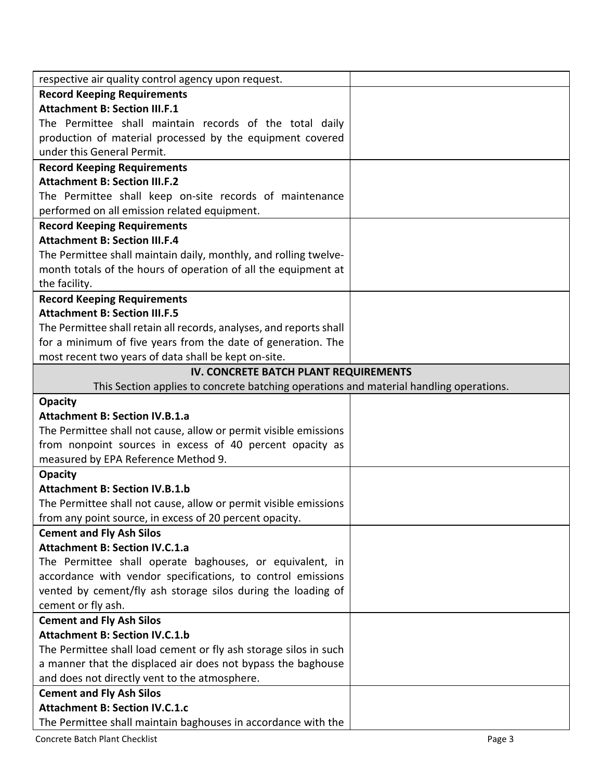| respective air quality control agency upon request.                                    |  |
|----------------------------------------------------------------------------------------|--|
| <b>Record Keeping Requirements</b>                                                     |  |
| <b>Attachment B: Section III.F.1</b>                                                   |  |
| The Permittee shall maintain records of the total daily                                |  |
| production of material processed by the equipment covered                              |  |
| under this General Permit.                                                             |  |
| <b>Record Keeping Requirements</b>                                                     |  |
| <b>Attachment B: Section III.F.2</b>                                                   |  |
| The Permittee shall keep on-site records of maintenance                                |  |
| performed on all emission related equipment.                                           |  |
| <b>Record Keeping Requirements</b>                                                     |  |
| <b>Attachment B: Section III.F.4</b>                                                   |  |
| The Permittee shall maintain daily, monthly, and rolling twelve-                       |  |
| month totals of the hours of operation of all the equipment at                         |  |
| the facility.                                                                          |  |
| <b>Record Keeping Requirements</b>                                                     |  |
| <b>Attachment B: Section III.F.5</b>                                                   |  |
| The Permittee shall retain all records, analyses, and reports shall                    |  |
| for a minimum of five years from the date of generation. The                           |  |
| most recent two years of data shall be kept on-site.                                   |  |
| IV. CONCRETE BATCH PLANT REQUIREMENTS                                                  |  |
| This Section applies to concrete batching operations and material handling operations. |  |
| <b>Opacity</b>                                                                         |  |
| <b>Attachment B: Section IV.B.1.a</b>                                                  |  |
| The Permittee shall not cause, allow or permit visible emissions                       |  |
| from nonpoint sources in excess of 40 percent opacity as                               |  |
| measured by EPA Reference Method 9.                                                    |  |
| <b>Opacity</b>                                                                         |  |
| <b>Attachment B: Section IV.B.1.b</b>                                                  |  |
| The Permittee shall not cause, allow or permit visible emissions                       |  |
| from any point source, in excess of 20 percent opacity.                                |  |
| <b>Cement and Fly Ash Silos</b>                                                        |  |
| <b>Attachment B: Section IV.C.1.a</b>                                                  |  |
| The Permittee shall operate baghouses, or equivalent, in                               |  |
| accordance with vendor specifications, to control emissions                            |  |
| vented by cement/fly ash storage silos during the loading of                           |  |
| cement or fly ash.                                                                     |  |
| <b>Cement and Fly Ash Silos</b>                                                        |  |
| <b>Attachment B: Section IV.C.1.b</b>                                                  |  |
| The Permittee shall load cement or fly ash storage silos in such                       |  |
| a manner that the displaced air does not bypass the baghouse                           |  |
| and does not directly vent to the atmosphere.                                          |  |
| <b>Cement and Fly Ash Silos</b>                                                        |  |
| <b>Attachment B: Section IV.C.1.c</b>                                                  |  |
| The Permittee shall maintain baghouses in accordance with the                          |  |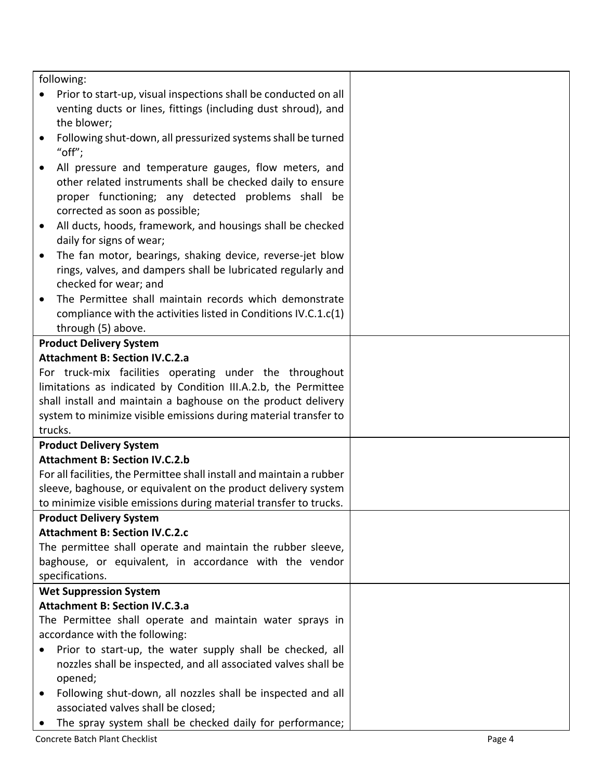|           | following:                                                                                                     |        |
|-----------|----------------------------------------------------------------------------------------------------------------|--------|
|           | Prior to start-up, visual inspections shall be conducted on all                                                |        |
|           | venting ducts or lines, fittings (including dust shroud), and                                                  |        |
|           | the blower;                                                                                                    |        |
| ٠         | Following shut-down, all pressurized systems shall be turned<br>" $off$ ";                                     |        |
| $\bullet$ | All pressure and temperature gauges, flow meters, and                                                          |        |
|           | other related instruments shall be checked daily to ensure                                                     |        |
|           | proper functioning; any detected problems shall be                                                             |        |
|           | corrected as soon as possible;                                                                                 |        |
| $\bullet$ | All ducts, hoods, framework, and housings shall be checked                                                     |        |
|           | daily for signs of wear;                                                                                       |        |
| $\bullet$ | The fan motor, bearings, shaking device, reverse-jet blow                                                      |        |
|           | rings, valves, and dampers shall be lubricated regularly and                                                   |        |
|           | checked for wear; and                                                                                          |        |
|           | The Permittee shall maintain records which demonstrate                                                         |        |
|           | compliance with the activities listed in Conditions IV.C.1.c(1)                                                |        |
|           | through (5) above.                                                                                             |        |
|           | <b>Product Delivery System</b>                                                                                 |        |
|           | <b>Attachment B: Section IV.C.2.a</b>                                                                          |        |
|           | For truck-mix facilities operating under the throughout                                                        |        |
|           | limitations as indicated by Condition III.A.2.b, the Permittee                                                 |        |
|           | shall install and maintain a baghouse on the product delivery                                                  |        |
|           | system to minimize visible emissions during material transfer to                                               |        |
|           | trucks.                                                                                                        |        |
|           | <b>Product Delivery System</b>                                                                                 |        |
|           | <b>Attachment B: Section IV.C.2.b</b><br>For all facilities, the Permittee shall install and maintain a rubber |        |
|           | sleeve, baghouse, or equivalent on the product delivery system                                                 |        |
|           | to minimize visible emissions during material transfer to trucks.                                              |        |
|           | <b>Product Delivery System</b>                                                                                 |        |
|           | <b>Attachment B: Section IV.C.2.c</b>                                                                          |        |
|           | The permittee shall operate and maintain the rubber sleeve,                                                    |        |
|           | baghouse, or equivalent, in accordance with the vendor                                                         |        |
|           | specifications.                                                                                                |        |
|           | <b>Wet Suppression System</b>                                                                                  |        |
|           | <b>Attachment B: Section IV.C.3.a</b>                                                                          |        |
|           | The Permittee shall operate and maintain water sprays in                                                       |        |
|           | accordance with the following:                                                                                 |        |
|           | Prior to start-up, the water supply shall be checked, all                                                      |        |
|           | nozzles shall be inspected, and all associated valves shall be                                                 |        |
|           | opened;                                                                                                        |        |
| $\bullet$ | Following shut-down, all nozzles shall be inspected and all                                                    |        |
|           | associated valves shall be closed;                                                                             |        |
| $\bullet$ | The spray system shall be checked daily for performance;                                                       |        |
|           | Concrete Batch Plant Checklist                                                                                 | Page 4 |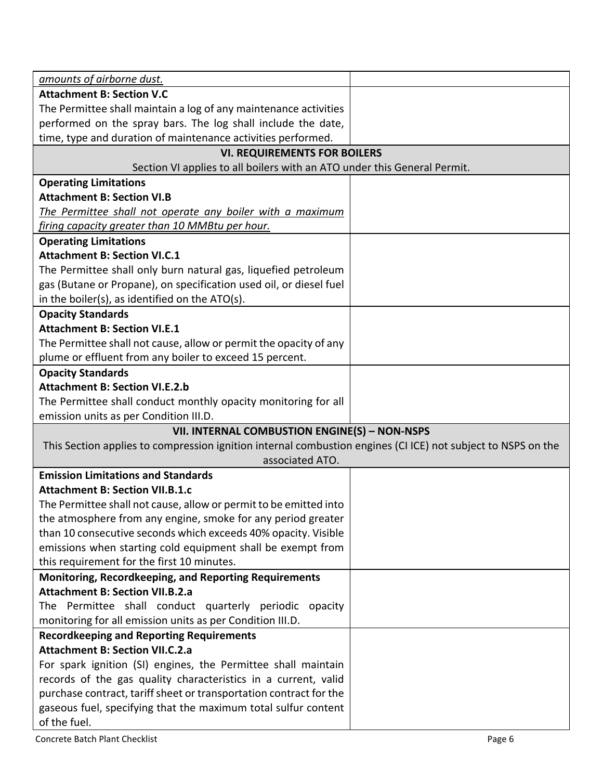| amounts of airborne dust.                                                                                    |  |
|--------------------------------------------------------------------------------------------------------------|--|
| <b>Attachment B: Section V.C</b>                                                                             |  |
| The Permittee shall maintain a log of any maintenance activities                                             |  |
| performed on the spray bars. The log shall include the date,                                                 |  |
| time, type and duration of maintenance activities performed.                                                 |  |
| <b>VI. REQUIREMENTS FOR BOILERS</b>                                                                          |  |
| Section VI applies to all boilers with an ATO under this General Permit.                                     |  |
| <b>Operating Limitations</b>                                                                                 |  |
| <b>Attachment B: Section VI.B</b>                                                                            |  |
| The Permittee shall not operate any boiler with a maximum                                                    |  |
| firing capacity greater than 10 MMBtu per hour.                                                              |  |
| <b>Operating Limitations</b>                                                                                 |  |
| <b>Attachment B: Section VI.C.1</b>                                                                          |  |
| The Permittee shall only burn natural gas, liquefied petroleum                                               |  |
| gas (Butane or Propane), on specification used oil, or diesel fuel                                           |  |
| in the boiler(s), as identified on the ATO(s).                                                               |  |
| <b>Opacity Standards</b>                                                                                     |  |
| <b>Attachment B: Section VI.E.1</b>                                                                          |  |
| The Permittee shall not cause, allow or permit the opacity of any                                            |  |
| plume or effluent from any boiler to exceed 15 percent.                                                      |  |
| <b>Opacity Standards</b>                                                                                     |  |
| <b>Attachment B: Section VI.E.2.b</b>                                                                        |  |
| The Permittee shall conduct monthly opacity monitoring for all                                               |  |
| emission units as per Condition III.D.                                                                       |  |
| VII. INTERNAL COMBUSTION ENGINE(S) - NON-NSPS                                                                |  |
| This Section applies to compression ignition internal combustion engines (CI ICE) not subject to NSPS on the |  |
| associated ATO.                                                                                              |  |
| <b>Emission Limitations and Standards</b>                                                                    |  |
| <b>Attachment B: Section VII.B.1.c</b>                                                                       |  |
| The Permittee shall not cause, allow or permit to be emitted into                                            |  |
| the atmosphere from any engine, smoke for any period greater                                                 |  |
| than 10 consecutive seconds which exceeds 40% opacity. Visible                                               |  |
| emissions when starting cold equipment shall be exempt from                                                  |  |
| this requirement for the first 10 minutes.                                                                   |  |
| Monitoring, Recordkeeping, and Reporting Requirements                                                        |  |
| <b>Attachment B: Section VII.B.2.a</b>                                                                       |  |
| The Permittee shall conduct quarterly periodic opacity                                                       |  |
| monitoring for all emission units as per Condition III.D.                                                    |  |
| <b>Recordkeeping and Reporting Requirements</b>                                                              |  |
| <b>Attachment B: Section VII.C.2.a</b>                                                                       |  |
| For spark ignition (SI) engines, the Permittee shall maintain                                                |  |
| records of the gas quality characteristics in a current, valid                                               |  |
| purchase contract, tariff sheet or transportation contract for the                                           |  |
| gaseous fuel, specifying that the maximum total sulfur content                                               |  |
| of the fuel.                                                                                                 |  |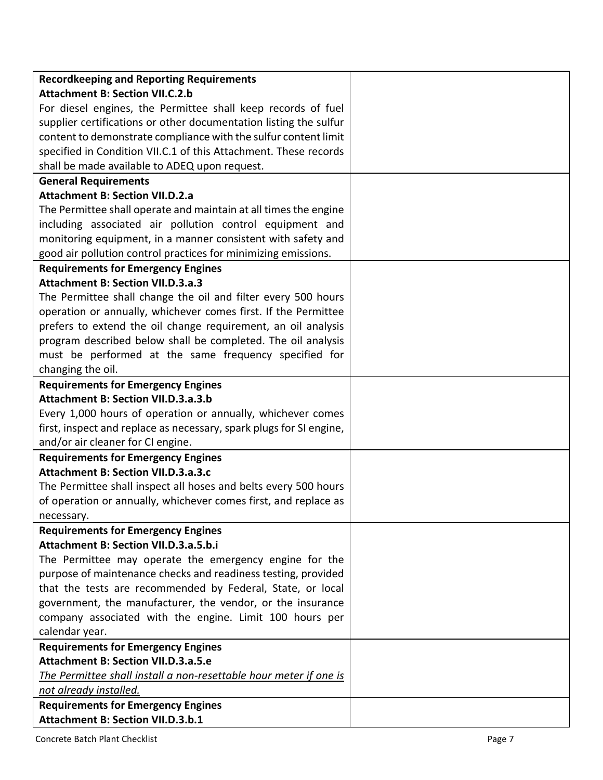| <b>Recordkeeping and Reporting Requirements</b>                     |  |
|---------------------------------------------------------------------|--|
| <b>Attachment B: Section VII.C.2.b</b>                              |  |
| For diesel engines, the Permittee shall keep records of fuel        |  |
| supplier certifications or other documentation listing the sulfur   |  |
| content to demonstrate compliance with the sulfur content limit     |  |
| specified in Condition VII.C.1 of this Attachment. These records    |  |
| shall be made available to ADEQ upon request.                       |  |
| <b>General Requirements</b>                                         |  |
| <b>Attachment B: Section VII.D.2.a</b>                              |  |
| The Permittee shall operate and maintain at all times the engine    |  |
| including associated air pollution control equipment and            |  |
| monitoring equipment, in a manner consistent with safety and        |  |
| good air pollution control practices for minimizing emissions.      |  |
| <b>Requirements for Emergency Engines</b>                           |  |
| <b>Attachment B: Section VII.D.3.a.3</b>                            |  |
| The Permittee shall change the oil and filter every 500 hours       |  |
| operation or annually, whichever comes first. If the Permittee      |  |
| prefers to extend the oil change requirement, an oil analysis       |  |
| program described below shall be completed. The oil analysis        |  |
| must be performed at the same frequency specified for               |  |
| changing the oil.                                                   |  |
| <b>Requirements for Emergency Engines</b>                           |  |
| <b>Attachment B: Section VII.D.3.a.3.b</b>                          |  |
| Every 1,000 hours of operation or annually, whichever comes         |  |
| first, inspect and replace as necessary, spark plugs for SI engine, |  |
| and/or air cleaner for CI engine.                                   |  |
| <b>Requirements for Emergency Engines</b>                           |  |
| <b>Attachment B: Section VII.D.3.a.3.c</b>                          |  |
| The Permittee shall inspect all hoses and belts every 500 hours     |  |
| of operation or annually, whichever comes first, and replace as     |  |
| necessary.                                                          |  |
| <b>Requirements for Emergency Engines</b>                           |  |
| <b>Attachment B: Section VII.D.3.a.5.b.i</b>                        |  |
| The Permittee may operate the emergency engine for the              |  |
| purpose of maintenance checks and readiness testing, provided       |  |
| that the tests are recommended by Federal, State, or local          |  |
| government, the manufacturer, the vendor, or the insurance          |  |
| company associated with the engine. Limit 100 hours per             |  |
| calendar year.                                                      |  |
| <b>Requirements for Emergency Engines</b>                           |  |
| <b>Attachment B: Section VII.D.3.a.5.e</b>                          |  |
| The Permittee shall install a non-resettable hour meter if one is   |  |
| not already installed.                                              |  |
| <b>Requirements for Emergency Engines</b>                           |  |
| <b>Attachment B: Section VII.D.3.b.1</b>                            |  |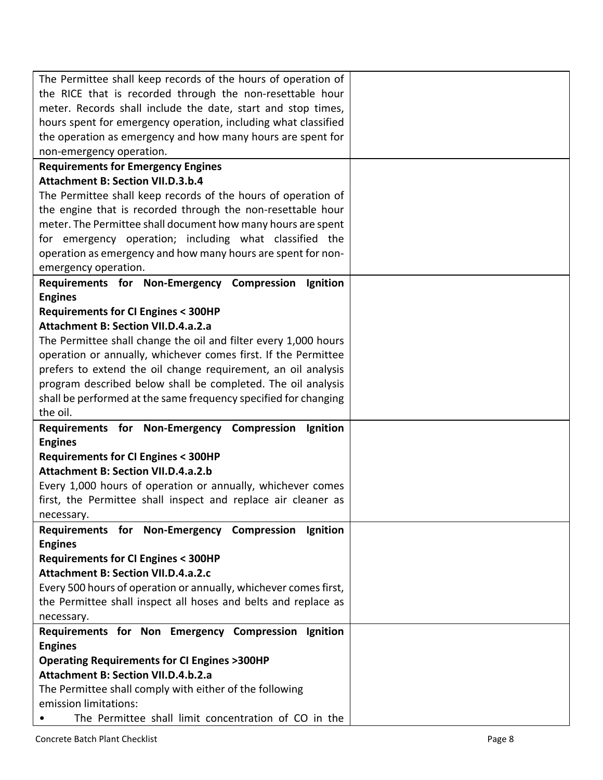| The Permittee shall keep records of the hours of operation of                 |  |
|-------------------------------------------------------------------------------|--|
| the RICE that is recorded through the non-resettable hour                     |  |
| meter. Records shall include the date, start and stop times,                  |  |
| hours spent for emergency operation, including what classified                |  |
| the operation as emergency and how many hours are spent for                   |  |
| non-emergency operation.                                                      |  |
| <b>Requirements for Emergency Engines</b>                                     |  |
| <b>Attachment B: Section VII.D.3.b.4</b>                                      |  |
| The Permittee shall keep records of the hours of operation of                 |  |
| the engine that is recorded through the non-resettable hour                   |  |
| meter. The Permittee shall document how many hours are spent                  |  |
| for emergency operation; including what classified the                        |  |
| operation as emergency and how many hours are spent for non-                  |  |
| emergency operation.                                                          |  |
| Requirements for Non-Emergency Compression<br>Ignition                        |  |
| <b>Engines</b>                                                                |  |
| <b>Requirements for CI Engines &lt; 300HP</b>                                 |  |
| <b>Attachment B: Section VII.D.4.a.2.a</b>                                    |  |
| The Permittee shall change the oil and filter every 1,000 hours               |  |
| operation or annually, whichever comes first. If the Permittee                |  |
| prefers to extend the oil change requirement, an oil analysis                 |  |
| program described below shall be completed. The oil analysis                  |  |
| shall be performed at the same frequency specified for changing               |  |
| the oil.                                                                      |  |
| Requirements for Non-Emergency Compression<br>Ignition                        |  |
| <b>Engines</b>                                                                |  |
|                                                                               |  |
|                                                                               |  |
| <b>Requirements for CI Engines &lt; 300HP</b>                                 |  |
| <b>Attachment B: Section VII.D.4.a.2.b</b>                                    |  |
| Every 1,000 hours of operation or annually, whichever comes                   |  |
| first, the Permittee shall inspect and replace air cleaner as                 |  |
| necessary.                                                                    |  |
| Requirements for Non-Emergency Compression<br>Ignition                        |  |
| <b>Engines</b>                                                                |  |
| <b>Requirements for CI Engines &lt; 300HP</b>                                 |  |
| <b>Attachment B: Section VII.D.4.a.2.c</b>                                    |  |
| Every 500 hours of operation or annually, whichever comes first,              |  |
| the Permittee shall inspect all hoses and belts and replace as                |  |
| necessary.                                                                    |  |
| Requirements for Non Emergency Compression Ignition                           |  |
| <b>Engines</b>                                                                |  |
| <b>Operating Requirements for CI Engines &gt;300HP</b>                        |  |
| <b>Attachment B: Section VII.D.4.b.2.a</b>                                    |  |
| The Permittee shall comply with either of the following                       |  |
| emission limitations:<br>The Permittee shall limit concentration of CO in the |  |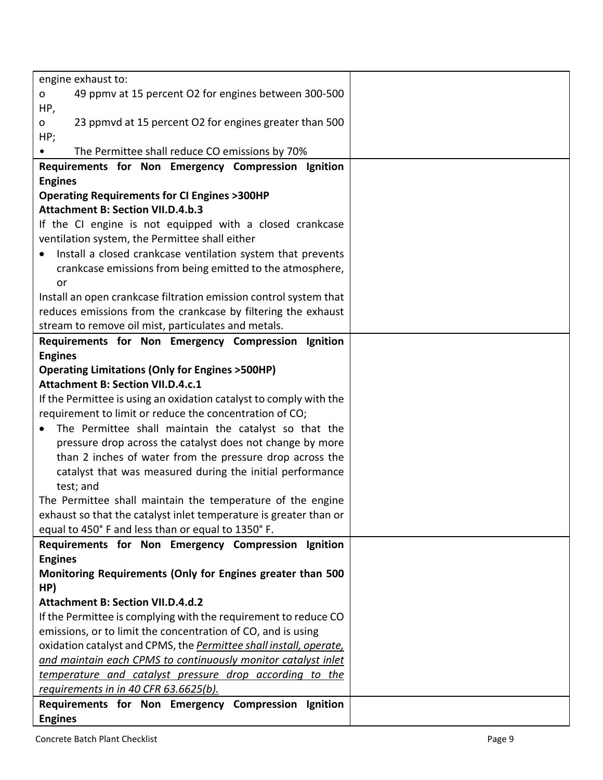| engine exhaust to:                                                                                                                 |  |
|------------------------------------------------------------------------------------------------------------------------------------|--|
| 49 ppmv at 15 percent O2 for engines between 300-500<br>O                                                                          |  |
| HP,                                                                                                                                |  |
| 23 ppmvd at 15 percent O2 for engines greater than 500<br>0                                                                        |  |
| HP;                                                                                                                                |  |
| The Permittee shall reduce CO emissions by 70%                                                                                     |  |
| Requirements for Non Emergency Compression Ignition                                                                                |  |
| <b>Engines</b>                                                                                                                     |  |
| <b>Operating Requirements for CI Engines &gt;300HP</b>                                                                             |  |
| <b>Attachment B: Section VII.D.4.b.3</b>                                                                                           |  |
| If the CI engine is not equipped with a closed crankcase                                                                           |  |
| ventilation system, the Permittee shall either                                                                                     |  |
| Install a closed crankcase ventilation system that prevents                                                                        |  |
| crankcase emissions from being emitted to the atmosphere,                                                                          |  |
| or                                                                                                                                 |  |
| Install an open crankcase filtration emission control system that<br>reduces emissions from the crankcase by filtering the exhaust |  |
| stream to remove oil mist, particulates and metals.                                                                                |  |
| Requirements for Non Emergency Compression Ignition                                                                                |  |
| <b>Engines</b>                                                                                                                     |  |
| <b>Operating Limitations (Only for Engines &gt;500HP)</b>                                                                          |  |
| <b>Attachment B: Section VII.D.4.c.1</b>                                                                                           |  |
| If the Permittee is using an oxidation catalyst to comply with the                                                                 |  |
| requirement to limit or reduce the concentration of CO;                                                                            |  |
| The Permittee shall maintain the catalyst so that the<br>$\bullet$                                                                 |  |
| pressure drop across the catalyst does not change by more                                                                          |  |
| than 2 inches of water from the pressure drop across the                                                                           |  |
| catalyst that was measured during the initial performance                                                                          |  |
| test; and                                                                                                                          |  |
| The Permittee shall maintain the temperature of the engine                                                                         |  |
| exhaust so that the catalyst inlet temperature is greater than or                                                                  |  |
| equal to 450° F and less than or equal to 1350° F.                                                                                 |  |
| Requirements for Non Emergency Compression Ignition                                                                                |  |
| <b>Engines</b>                                                                                                                     |  |
| Monitoring Requirements (Only for Engines greater than 500                                                                         |  |
| HP)                                                                                                                                |  |
| <b>Attachment B: Section VII.D.4.d.2</b>                                                                                           |  |
| If the Permittee is complying with the requirement to reduce CO                                                                    |  |
| emissions, or to limit the concentration of CO, and is using                                                                       |  |
| oxidation catalyst and CPMS, the <b>Permittee shall install, operate</b> ,                                                         |  |
| and maintain each CPMS to continuously monitor catalyst inlet                                                                      |  |
| temperature and catalyst pressure drop according to the<br>requirements in in 40 CFR 63.6625(b).                                   |  |
| Requirements for Non Emergency Compression Ignition                                                                                |  |
| <b>Engines</b>                                                                                                                     |  |
|                                                                                                                                    |  |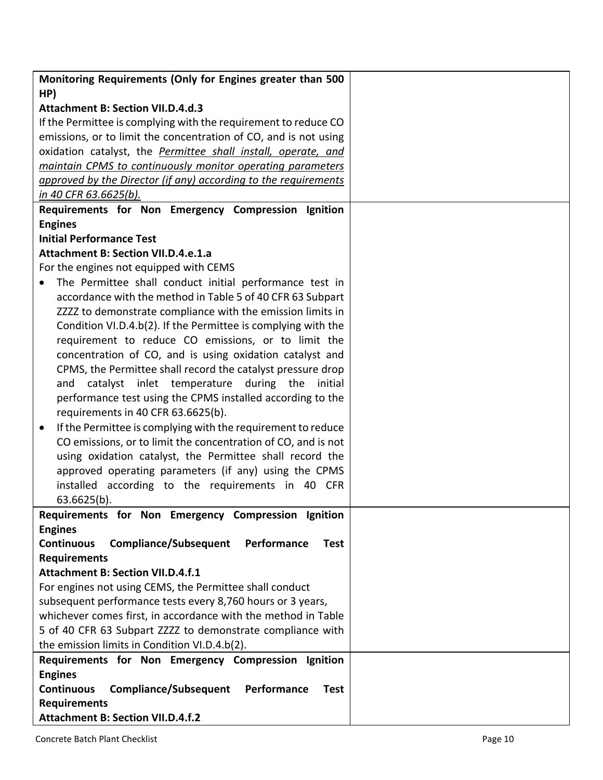| Monitoring Requirements (Only for Engines greater than 500                               |  |
|------------------------------------------------------------------------------------------|--|
| HP)<br><b>Attachment B: Section VII.D.4.d.3</b>                                          |  |
|                                                                                          |  |
| If the Permittee is complying with the requirement to reduce CO                          |  |
| emissions, or to limit the concentration of CO, and is not using                         |  |
| oxidation catalyst, the Permittee shall install, operate, and                            |  |
| maintain CPMS to continuously monitor operating parameters                               |  |
| approved by the Director (if any) according to the requirements<br>in 40 CFR 63.6625(b). |  |
|                                                                                          |  |
| Requirements for Non Emergency Compression Ignition<br><b>Engines</b>                    |  |
| <b>Initial Performance Test</b>                                                          |  |
| <b>Attachment B: Section VII.D.4.e.1.a</b>                                               |  |
| For the engines not equipped with CEMS                                                   |  |
| The Permittee shall conduct initial performance test in                                  |  |
| accordance with the method in Table 5 of 40 CFR 63 Subpart                               |  |
| ZZZZ to demonstrate compliance with the emission limits in                               |  |
| Condition VI.D.4.b(2). If the Permittee is complying with the                            |  |
| requirement to reduce CO emissions, or to limit the                                      |  |
| concentration of CO, and is using oxidation catalyst and                                 |  |
| CPMS, the Permittee shall record the catalyst pressure drop                              |  |
| catalyst inlet temperature during the<br>initial<br>and                                  |  |
| performance test using the CPMS installed according to the                               |  |
| requirements in 40 CFR 63.6625(b).                                                       |  |
| If the Permittee is complying with the requirement to reduce<br>$\bullet$                |  |
| CO emissions, or to limit the concentration of CO, and is not                            |  |
| using oxidation catalyst, the Permittee shall record the                                 |  |
| approved operating parameters (if any) using the CPMS                                    |  |
| installed according to the requirements in 40 CFR                                        |  |
| 63.6625(b).                                                                              |  |
| Requirements for Non Emergency Compression Ignition                                      |  |
| <b>Engines</b>                                                                           |  |
| <b>Continuous</b><br><b>Compliance/Subsequent</b><br>Performance<br><b>Test</b>          |  |
| <b>Requirements</b>                                                                      |  |
| <b>Attachment B: Section VII.D.4.f.1</b>                                                 |  |
| For engines not using CEMS, the Permittee shall conduct                                  |  |
| subsequent performance tests every 8,760 hours or 3 years,                               |  |
| whichever comes first, in accordance with the method in Table                            |  |
| 5 of 40 CFR 63 Subpart ZZZZ to demonstrate compliance with                               |  |
| the emission limits in Condition VI.D.4.b(2).                                            |  |
| Requirements for Non Emergency Compression Ignition                                      |  |
| <b>Engines</b>                                                                           |  |
| <b>Continuous</b><br><b>Compliance/Subsequent</b><br>Performance<br><b>Test</b>          |  |
| <b>Requirements</b>                                                                      |  |
| <b>Attachment B: Section VII.D.4.f.2</b>                                                 |  |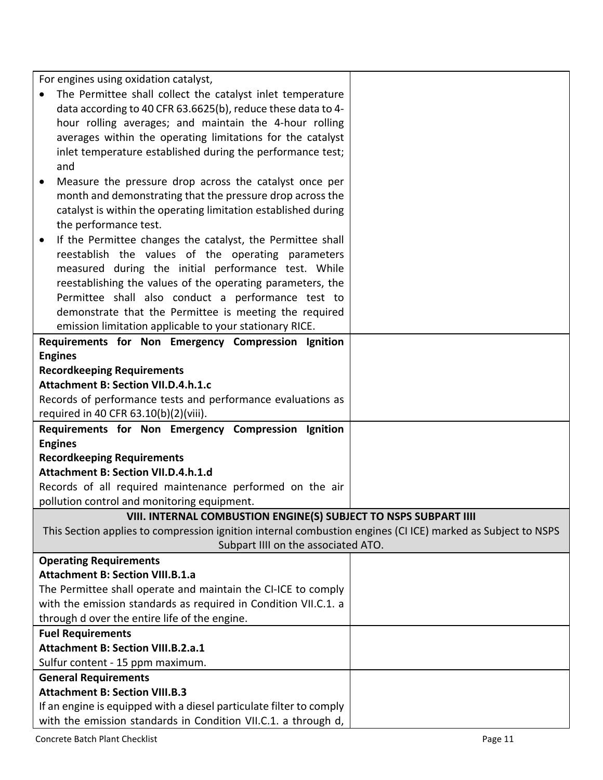For engines using oxidation catalyst.

| $\sim$                                                                                                      |  |
|-------------------------------------------------------------------------------------------------------------|--|
| The Permittee shall collect the catalyst inlet temperature                                                  |  |
| data according to 40 CFR 63.6625(b), reduce these data to 4-                                                |  |
| hour rolling averages; and maintain the 4-hour rolling                                                      |  |
| averages within the operating limitations for the catalyst                                                  |  |
| inlet temperature established during the performance test;                                                  |  |
| and                                                                                                         |  |
| Measure the pressure drop across the catalyst once per<br>$\bullet$                                         |  |
| month and demonstrating that the pressure drop across the                                                   |  |
| catalyst is within the operating limitation established during                                              |  |
| the performance test.                                                                                       |  |
| If the Permittee changes the catalyst, the Permittee shall<br>$\bullet$                                     |  |
| reestablish the values of the operating parameters                                                          |  |
| measured during the initial performance test. While                                                         |  |
| reestablishing the values of the operating parameters, the                                                  |  |
| Permittee shall also conduct a performance test to                                                          |  |
| demonstrate that the Permittee is meeting the required                                                      |  |
| emission limitation applicable to your stationary RICE.                                                     |  |
| Requirements for Non Emergency Compression Ignition                                                         |  |
| <b>Engines</b>                                                                                              |  |
| <b>Recordkeeping Requirements</b>                                                                           |  |
| <b>Attachment B: Section VII.D.4.h.1.c</b>                                                                  |  |
| Records of performance tests and performance evaluations as                                                 |  |
| required in 40 CFR 63.10(b)(2)(viii).                                                                       |  |
| Requirements for Non Emergency Compression Ignition                                                         |  |
| <b>Engines</b>                                                                                              |  |
| <b>Recordkeeping Requirements</b>                                                                           |  |
| Attachment B: Section VII.D.4.h.1.d                                                                         |  |
| Records of all required maintenance performed on the air                                                    |  |
| pollution control and monitoring equipment.                                                                 |  |
| VIII. INTERNAL COMBUSTION ENGINE(S) SUBJECT TO NSPS SUBPART IIII                                            |  |
| This Section applies to compression ignition internal combustion engines (CI ICE) marked as Subject to NSPS |  |
| Subpart IIII on the associated ATO.                                                                         |  |
| <b>Operating Requirements</b>                                                                               |  |
| <b>Attachment B: Section VIII.B.1.a</b>                                                                     |  |
| The Permittee shall operate and maintain the CI-ICE to comply                                               |  |
| with the emission standards as required in Condition VII.C.1. a                                             |  |
| through d over the entire life of the engine.                                                               |  |
| <b>Fuel Requirements</b>                                                                                    |  |
| Attachment B: Section VIII.B.2.a.1                                                                          |  |
| Sulfur content - 15 ppm maximum.                                                                            |  |
| <b>General Requirements</b>                                                                                 |  |
| <b>Attachment B: Section VIII.B.3</b>                                                                       |  |
| If an engine is equipped with a diesel particulate filter to comply                                         |  |
| with the emission standards in Condition VII.C.1. a through d,                                              |  |

Τ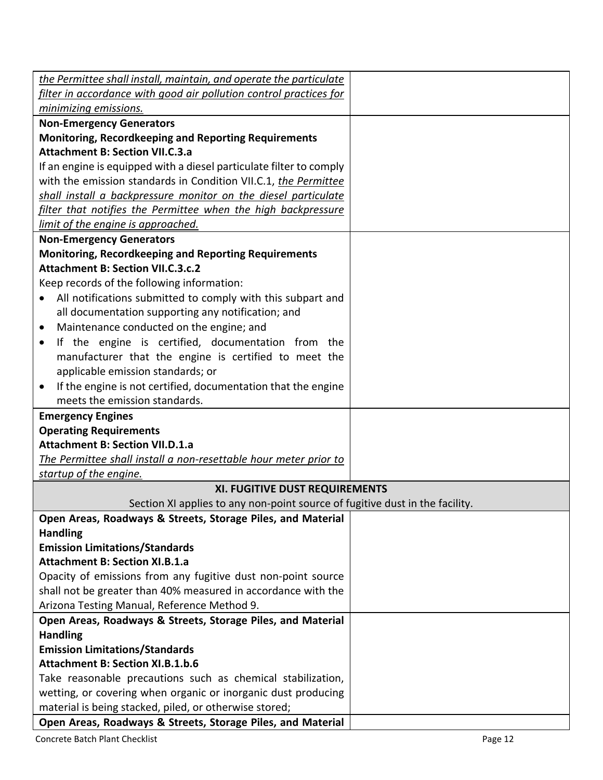| the Permittee shall install, maintain, and operate the particulate                                    |  |
|-------------------------------------------------------------------------------------------------------|--|
| filter in accordance with good air pollution control practices for                                    |  |
| minimizing emissions.                                                                                 |  |
| <b>Non-Emergency Generators</b>                                                                       |  |
| <b>Monitoring, Recordkeeping and Reporting Requirements</b><br><b>Attachment B: Section VII.C.3.a</b> |  |
|                                                                                                       |  |
| If an engine is equipped with a diesel particulate filter to comply                                   |  |
| with the emission standards in Condition VII.C.1, the Permittee                                       |  |
| shall install a backpressure monitor on the diesel particulate                                        |  |
| filter that notifies the Permittee when the high backpressure                                         |  |
| limit of the engine is approached.                                                                    |  |
| <b>Non-Emergency Generators</b>                                                                       |  |
| <b>Monitoring, Recordkeeping and Reporting Requirements</b>                                           |  |
| <b>Attachment B: Section VII.C.3.c.2</b>                                                              |  |
| Keep records of the following information:                                                            |  |
| All notifications submitted to comply with this subpart and<br>$\bullet$                              |  |
| all documentation supporting any notification; and                                                    |  |
| Maintenance conducted on the engine; and<br>$\bullet$                                                 |  |
| If the engine is certified, documentation from the<br>٠                                               |  |
| manufacturer that the engine is certified to meet the                                                 |  |
| applicable emission standards; or                                                                     |  |
| If the engine is not certified, documentation that the engine<br>$\bullet$                            |  |
| meets the emission standards.                                                                         |  |
| <b>Emergency Engines</b>                                                                              |  |
| <b>Operating Requirements</b>                                                                         |  |
| <b>Attachment B: Section VII.D.1.a</b>                                                                |  |
| The Permittee shall install a non-resettable hour meter prior to                                      |  |
| startup of the engine.                                                                                |  |
| XI. FUGITIVE DUST REQUIREMENTS                                                                        |  |
| Section XI applies to any non-point source of fugitive dust in the facility.                          |  |
| Open Areas, Roadways & Streets, Storage Piles, and Material                                           |  |
| <b>Handling</b>                                                                                       |  |
| <b>Emission Limitations/Standards</b>                                                                 |  |
| <b>Attachment B: Section XI.B.1.a</b>                                                                 |  |
| Opacity of emissions from any fugitive dust non-point source                                          |  |
| shall not be greater than 40% measured in accordance with the                                         |  |
| Arizona Testing Manual, Reference Method 9.                                                           |  |
| Open Areas, Roadways & Streets, Storage Piles, and Material                                           |  |
| <b>Handling</b>                                                                                       |  |
| <b>Emission Limitations/Standards</b>                                                                 |  |
| <b>Attachment B: Section XI.B.1.b.6</b>                                                               |  |
| Take reasonable precautions such as chemical stabilization,                                           |  |
| wetting, or covering when organic or inorganic dust producing                                         |  |
| material is being stacked, piled, or otherwise stored;                                                |  |
| Open Areas, Roadways & Streets, Storage Piles, and Material                                           |  |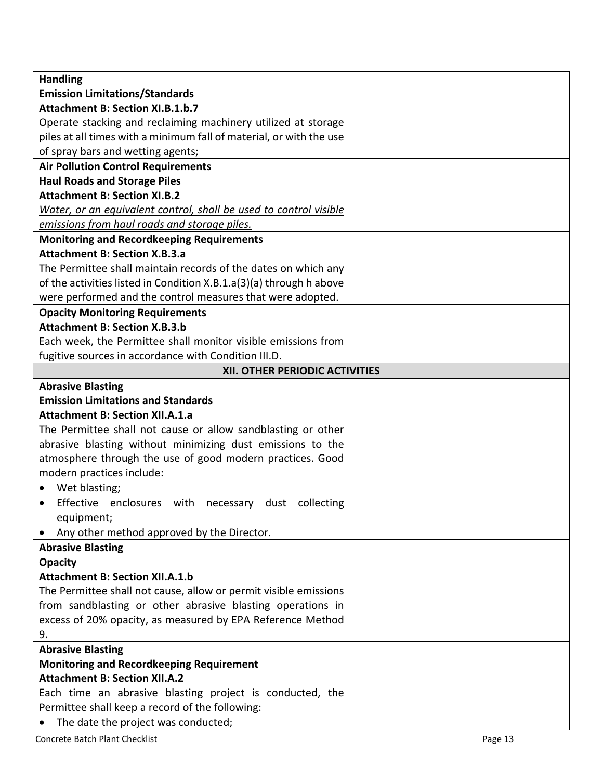| <b>Handling</b>                                                     |  |
|---------------------------------------------------------------------|--|
| <b>Emission Limitations/Standards</b>                               |  |
| <b>Attachment B: Section XI.B.1.b.7</b>                             |  |
| Operate stacking and reclaiming machinery utilized at storage       |  |
| piles at all times with a minimum fall of material, or with the use |  |
| of spray bars and wetting agents;                                   |  |
| <b>Air Pollution Control Requirements</b>                           |  |
| <b>Haul Roads and Storage Piles</b>                                 |  |
| <b>Attachment B: Section XI.B.2</b>                                 |  |
| Water, or an equivalent control, shall be used to control visible   |  |
| emissions from haul roads and storage piles.                        |  |
| <b>Monitoring and Recordkeeping Requirements</b>                    |  |
| <b>Attachment B: Section X.B.3.a</b>                                |  |
| The Permittee shall maintain records of the dates on which any      |  |
| of the activities listed in Condition X.B.1.a(3)(a) through h above |  |
| were performed and the control measures that were adopted.          |  |
| <b>Opacity Monitoring Requirements</b>                              |  |
| <b>Attachment B: Section X.B.3.b</b>                                |  |
| Each week, the Permittee shall monitor visible emissions from       |  |
| fugitive sources in accordance with Condition III.D.                |  |
| XII. OTHER PERIODIC ACTIVITIES                                      |  |
| <b>Abrasive Blasting</b>                                            |  |
| <b>Emission Limitations and Standards</b>                           |  |
| <b>Attachment B: Section XII.A.1.a</b>                              |  |
| The Permittee shall not cause or allow sandblasting or other        |  |
| abrasive blasting without minimizing dust emissions to the          |  |
| atmosphere through the use of good modern practices. Good           |  |
| modern practices include:                                           |  |
| Wet blasting;                                                       |  |
| Effective enclosures<br>with necessary dust collecting              |  |
| equipment;                                                          |  |
| Any other method approved by the Director.                          |  |
| <b>Abrasive Blasting</b>                                            |  |
| <b>Opacity</b>                                                      |  |
| <b>Attachment B: Section XII.A.1.b</b>                              |  |
| The Permittee shall not cause, allow or permit visible emissions    |  |
| from sandblasting or other abrasive blasting operations in          |  |
| excess of 20% opacity, as measured by EPA Reference Method          |  |
| 9.                                                                  |  |
| <b>Abrasive Blasting</b>                                            |  |
| <b>Monitoring and Recordkeeping Requirement</b>                     |  |
| <b>Attachment B: Section XII.A.2</b>                                |  |
| Each time an abrasive blasting project is conducted, the            |  |
| Permittee shall keep a record of the following:                     |  |
| The date the project was conducted;                                 |  |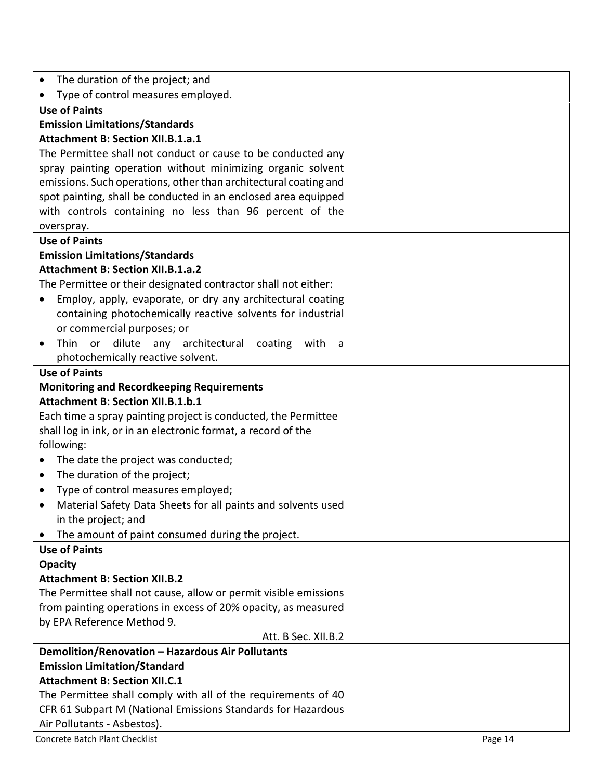| The duration of the project; and<br>$\bullet$                                                                                     |  |
|-----------------------------------------------------------------------------------------------------------------------------------|--|
| Type of control measures employed.<br>$\bullet$                                                                                   |  |
| <b>Use of Paints</b>                                                                                                              |  |
| <b>Emission Limitations/Standards</b>                                                                                             |  |
| <b>Attachment B: Section XII.B.1.a.1</b>                                                                                          |  |
| The Permittee shall not conduct or cause to be conducted any                                                                      |  |
| spray painting operation without minimizing organic solvent                                                                       |  |
| emissions. Such operations, other than architectural coating and                                                                  |  |
| spot painting, shall be conducted in an enclosed area equipped                                                                    |  |
| with controls containing no less than 96 percent of the                                                                           |  |
| overspray.                                                                                                                        |  |
| <b>Use of Paints</b>                                                                                                              |  |
| <b>Emission Limitations/Standards</b><br><b>Attachment B: Section XII.B.1.a.2</b>                                                 |  |
|                                                                                                                                   |  |
| The Permittee or their designated contractor shall not either:<br>Employ, apply, evaporate, or dry any architectural coating<br>٠ |  |
| containing photochemically reactive solvents for industrial                                                                       |  |
| or commercial purposes; or                                                                                                        |  |
| dilute any architectural coating<br>Thin or<br>with<br>$\bullet$<br>- a                                                           |  |
| photochemically reactive solvent.                                                                                                 |  |
| <b>Use of Paints</b>                                                                                                              |  |
| <b>Monitoring and Recordkeeping Requirements</b>                                                                                  |  |
| <b>Attachment B: Section XII.B.1.b.1</b>                                                                                          |  |
| Each time a spray painting project is conducted, the Permittee                                                                    |  |
| shall log in ink, or in an electronic format, a record of the                                                                     |  |
| following:                                                                                                                        |  |
| The date the project was conducted;                                                                                               |  |
| The duration of the project;<br>$\bullet$                                                                                         |  |
| Type of control measures employed;<br>$\bullet$                                                                                   |  |
| Material Safety Data Sheets for all paints and solvents used<br>٠                                                                 |  |
| in the project; and                                                                                                               |  |
| The amount of paint consumed during the project.                                                                                  |  |
| <b>Use of Paints</b>                                                                                                              |  |
| <b>Opacity</b>                                                                                                                    |  |
| <b>Attachment B: Section XII.B.2</b>                                                                                              |  |
| The Permittee shall not cause, allow or permit visible emissions                                                                  |  |
| from painting operations in excess of 20% opacity, as measured                                                                    |  |
| by EPA Reference Method 9.                                                                                                        |  |
| Att. B Sec. XII.B.2                                                                                                               |  |
| Demolition/Renovation - Hazardous Air Pollutants                                                                                  |  |
| <b>Emission Limitation/Standard</b><br><b>Attachment B: Section XII.C.1</b>                                                       |  |
| The Permittee shall comply with all of the requirements of 40                                                                     |  |
| CFR 61 Subpart M (National Emissions Standards for Hazardous                                                                      |  |
|                                                                                                                                   |  |
| Air Pollutants - Asbestos).                                                                                                       |  |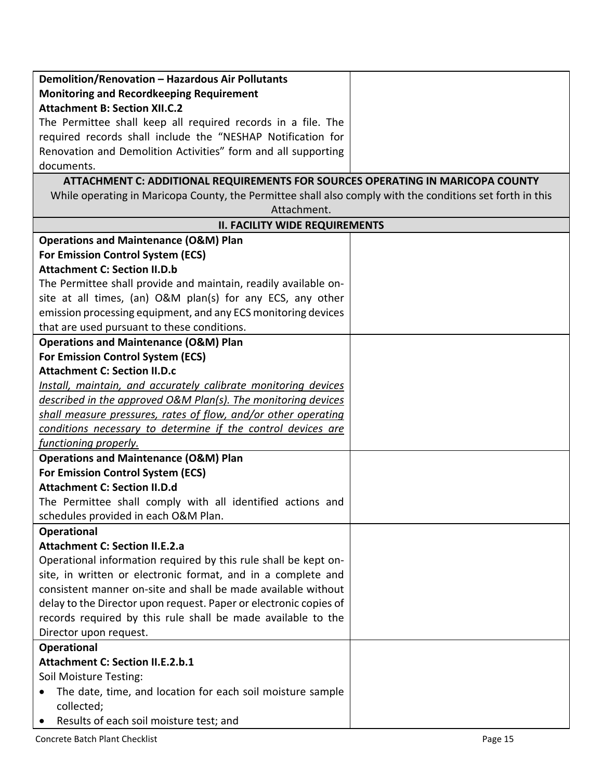| Demolition/Renovation - Hazardous Air Pollutants                                                          |  |
|-----------------------------------------------------------------------------------------------------------|--|
| <b>Monitoring and Recordkeeping Requirement</b>                                                           |  |
| <b>Attachment B: Section XII.C.2</b>                                                                      |  |
| The Permittee shall keep all required records in a file. The                                              |  |
| required records shall include the "NESHAP Notification for                                               |  |
| Renovation and Demolition Activities" form and all supporting                                             |  |
| documents.                                                                                                |  |
| ATTACHMENT C: ADDITIONAL REQUIREMENTS FOR SOURCES OPERATING IN MARICOPA COUNTY                            |  |
| While operating in Maricopa County, the Permittee shall also comply with the conditions set forth in this |  |
| Attachment.                                                                                               |  |
| <b>II. FACILITY WIDE REQUIREMENTS</b>                                                                     |  |
| <b>Operations and Maintenance (O&amp;M) Plan</b>                                                          |  |
| <b>For Emission Control System (ECS)</b>                                                                  |  |
| <b>Attachment C: Section II.D.b</b>                                                                       |  |
| The Permittee shall provide and maintain, readily available on-                                           |  |
| site at all times, (an) O&M plan(s) for any ECS, any other                                                |  |
| emission processing equipment, and any ECS monitoring devices                                             |  |
| that are used pursuant to these conditions.                                                               |  |
| <b>Operations and Maintenance (O&amp;M) Plan</b>                                                          |  |
| For Emission Control System (ECS)                                                                         |  |
| <b>Attachment C: Section II.D.c</b>                                                                       |  |
| Install, maintain, and accurately calibrate monitoring devices                                            |  |
| described in the approved O&M Plan(s). The monitoring devices                                             |  |
| shall measure pressures, rates of flow, and/or other operating                                            |  |
| conditions necessary to determine if the control devices are                                              |  |
| functioning properly.                                                                                     |  |
| <b>Operations and Maintenance (O&amp;M) Plan</b>                                                          |  |
| For Emission Control System (ECS)                                                                         |  |
| <b>Attachment C: Section II.D.d</b>                                                                       |  |
| The Permittee shall comply with all identified actions and                                                |  |
| schedules provided in each O&M Plan.                                                                      |  |
| <b>Operational</b>                                                                                        |  |
| <b>Attachment C: Section II.E.2.a</b>                                                                     |  |
| Operational information required by this rule shall be kept on-                                           |  |
| site, in written or electronic format, and in a complete and                                              |  |
| consistent manner on-site and shall be made available without                                             |  |
| delay to the Director upon request. Paper or electronic copies of                                         |  |
| records required by this rule shall be made available to the                                              |  |
| Director upon request.                                                                                    |  |
| <b>Operational</b>                                                                                        |  |
| <b>Attachment C: Section II.E.2.b.1</b>                                                                   |  |
| Soil Moisture Testing:                                                                                    |  |
| The date, time, and location for each soil moisture sample<br>٠                                           |  |
| collected;                                                                                                |  |
| Results of each soil moisture test; and<br>٠                                                              |  |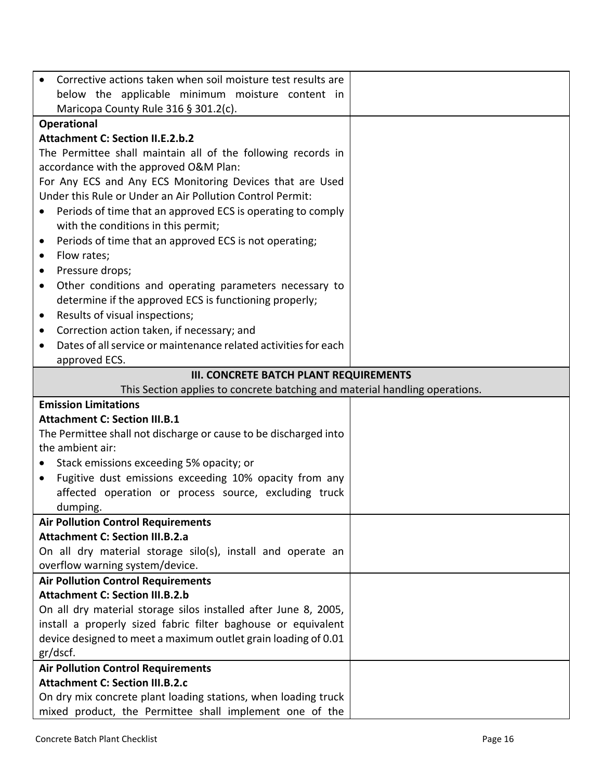|           | Corrective actions taken when soil moisture test results are                                                              |
|-----------|---------------------------------------------------------------------------------------------------------------------------|
|           | below the applicable minimum moisture content in                                                                          |
|           | Maricopa County Rule 316 § 301.2(c).                                                                                      |
|           | <b>Operational</b>                                                                                                        |
|           | <b>Attachment C: Section II.E.2.b.2</b>                                                                                   |
|           | The Permittee shall maintain all of the following records in                                                              |
|           | accordance with the approved O&M Plan:                                                                                    |
|           | For Any ECS and Any ECS Monitoring Devices that are Used                                                                  |
|           | Under this Rule or Under an Air Pollution Control Permit:                                                                 |
| $\bullet$ | Periods of time that an approved ECS is operating to comply                                                               |
|           | with the conditions in this permit;                                                                                       |
| $\bullet$ | Periods of time that an approved ECS is not operating;                                                                    |
| $\bullet$ | Flow rates;                                                                                                               |
| $\bullet$ | Pressure drops;                                                                                                           |
| $\bullet$ | Other conditions and operating parameters necessary to                                                                    |
|           | determine if the approved ECS is functioning properly;                                                                    |
| $\bullet$ | Results of visual inspections;                                                                                            |
| $\bullet$ | Correction action taken, if necessary; and                                                                                |
| $\bullet$ | Dates of all service or maintenance related activities for each                                                           |
|           | approved ECS.                                                                                                             |
|           | <b>III. CONCRETE BATCH PLANT REQUIREMENTS</b>                                                                             |
|           | This Section applies to concrete batching and material handling operations.                                               |
|           | <b>Emission Limitations</b>                                                                                               |
|           | <b>Attachment C: Section III.B.1</b>                                                                                      |
|           | The Permittee shall not discharge or cause to be discharged into<br>the ambient air:                                      |
|           |                                                                                                                           |
| $\bullet$ | Stack emissions exceeding 5% opacity; or<br>Fugitive dust emissions exceeding 10% opacity from any                        |
|           | affected operation or process source, excluding truck                                                                     |
|           | dumping.                                                                                                                  |
|           | <b>Air Pollution Control Requirements</b>                                                                                 |
|           |                                                                                                                           |
|           |                                                                                                                           |
|           | <b>Attachment C: Section III.B.2.a</b>                                                                                    |
|           | On all dry material storage silo(s), install and operate an                                                               |
|           | overflow warning system/device.<br><b>Air Pollution Control Requirements</b>                                              |
|           | <b>Attachment C: Section III.B.2.b</b>                                                                                    |
|           | On all dry material storage silos installed after June 8, 2005,                                                           |
|           | install a properly sized fabric filter baghouse or equivalent                                                             |
|           | device designed to meet a maximum outlet grain loading of 0.01                                                            |
|           | gr/dscf.                                                                                                                  |
|           | <b>Air Pollution Control Requirements</b>                                                                                 |
|           | <b>Attachment C: Section III.B.2.c</b>                                                                                    |
|           | On dry mix concrete plant loading stations, when loading truck<br>mixed product, the Permittee shall implement one of the |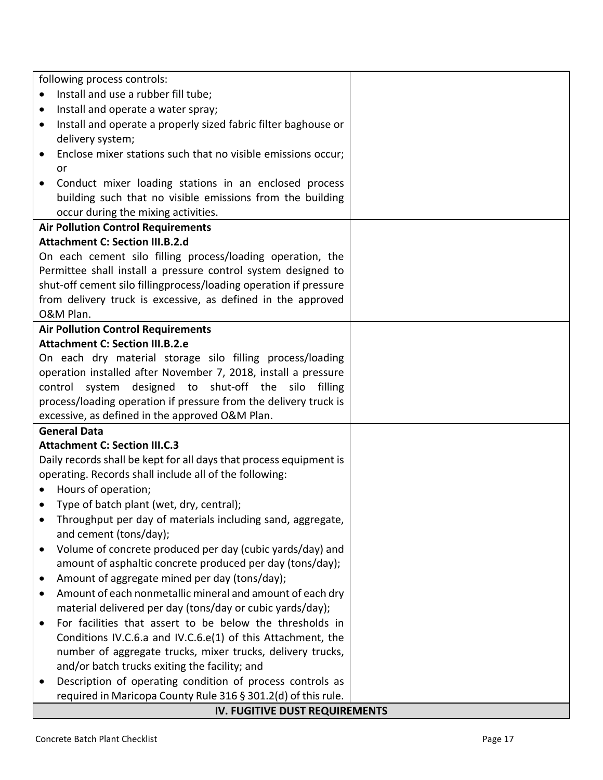| following process controls:                                                          |  |
|--------------------------------------------------------------------------------------|--|
| Install and use a rubber fill tube;                                                  |  |
| Install and operate a water spray;<br>٠                                              |  |
| Install and operate a properly sized fabric filter baghouse or<br>٠                  |  |
| delivery system;                                                                     |  |
| Enclose mixer stations such that no visible emissions occur;                         |  |
| or                                                                                   |  |
| Conduct mixer loading stations in an enclosed process<br>٠                           |  |
| building such that no visible emissions from the building                            |  |
| occur during the mixing activities.                                                  |  |
| <b>Air Pollution Control Requirements</b>                                            |  |
| <b>Attachment C: Section III.B.2.d</b>                                               |  |
| On each cement silo filling process/loading operation, the                           |  |
| Permittee shall install a pressure control system designed to                        |  |
| shut-off cement silo fillingprocess/loading operation if pressure                    |  |
| from delivery truck is excessive, as defined in the approved                         |  |
| O&M Plan.                                                                            |  |
| <b>Air Pollution Control Requirements</b>                                            |  |
| <b>Attachment C: Section III.B.2.e</b>                                               |  |
| On each dry material storage silo filling process/loading                            |  |
| operation installed after November 7, 2018, install a pressure                       |  |
| designed to shut-off the silo filling<br>control<br>system                           |  |
| process/loading operation if pressure from the delivery truck is                     |  |
| excessive, as defined in the approved O&M Plan.                                      |  |
| <b>General Data</b>                                                                  |  |
| <b>Attachment C: Section III.C.3</b>                                                 |  |
| Daily records shall be kept for all days that process equipment is                   |  |
| operating. Records shall include all of the following:                               |  |
| Hours of operation;                                                                  |  |
| Type of batch plant (wet, dry, central);                                             |  |
| Throughput per day of materials including sand, aggregate,<br>and cement (tons/day); |  |
| Volume of concrete produced per day (cubic yards/day) and                            |  |
| amount of asphaltic concrete produced per day (tons/day);                            |  |
| Amount of aggregate mined per day (tons/day);                                        |  |
| Amount of each nonmetallic mineral and amount of each dry                            |  |
| material delivered per day (tons/day or cubic yards/day);                            |  |
| For facilities that assert to be below the thresholds in                             |  |
| Conditions IV.C.6.a and IV.C.6.e(1) of this Attachment, the                          |  |
| number of aggregate trucks, mixer trucks, delivery trucks,                           |  |
| and/or batch trucks exiting the facility; and                                        |  |
| Description of operating condition of process controls as                            |  |
| required in Maricopa County Rule 316 § 301.2(d) of this rule.                        |  |
| IV. FUGITIVE DUST REQUIREMENTS                                                       |  |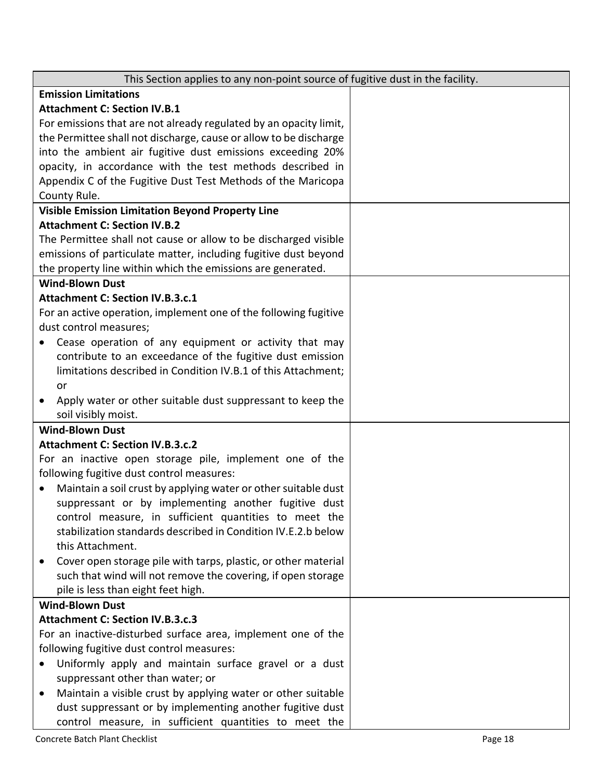| This Section applies to any non-point source of fugitive dust in the facility. |
|--------------------------------------------------------------------------------|
| <b>Emission Limitations</b>                                                    |
| <b>Attachment C: Section IV.B.1</b>                                            |
| For emissions that are not already regulated by an opacity limit,              |
| the Permittee shall not discharge, cause or allow to be discharge              |
| into the ambient air fugitive dust emissions exceeding 20%                     |
| opacity, in accordance with the test methods described in                      |
| Appendix C of the Fugitive Dust Test Methods of the Maricopa                   |
| County Rule.                                                                   |
| <b>Visible Emission Limitation Beyond Property Line</b>                        |
| <b>Attachment C: Section IV.B.2</b>                                            |
| The Permittee shall not cause or allow to be discharged visible                |
| emissions of particulate matter, including fugitive dust beyond                |
| the property line within which the emissions are generated.                    |
| <b>Wind-Blown Dust</b>                                                         |
| <b>Attachment C: Section IV.B.3.c.1</b>                                        |
| For an active operation, implement one of the following fugitive               |
| dust control measures:                                                         |
| Cease operation of any equipment or activity that may                          |
| contribute to an exceedance of the fugitive dust emission                      |
| limitations described in Condition IV.B.1 of this Attachment;                  |
| or                                                                             |
| Apply water or other suitable dust suppressant to keep the<br>$\bullet$        |
| soil visibly moist.                                                            |
| <b>Wind-Blown Dust</b>                                                         |
| <b>Attachment C: Section IV.B.3.c.2</b>                                        |
| For an inactive open storage pile, implement one of the                        |
| following fugitive dust control measures:                                      |
| Maintain a soil crust by applying water or other suitable dust<br>$\bullet$    |
| suppressant or by implementing another fugitive dust                           |
| control measure, in sufficient quantities to meet the                          |
| stabilization standards described in Condition IV.E.2.b below                  |
| this Attachment.                                                               |
| Cover open storage pile with tarps, plastic, or other material                 |
| such that wind will not remove the covering, if open storage                   |
| pile is less than eight feet high.                                             |
| <b>Wind-Blown Dust</b>                                                         |
| <b>Attachment C: Section IV.B.3.c.3</b>                                        |
| For an inactive-disturbed surface area, implement one of the                   |
| following fugitive dust control measures:                                      |
| Uniformly apply and maintain surface gravel or a dust                          |
| suppressant other than water; or                                               |
| Maintain a visible crust by applying water or other suitable<br>$\bullet$      |
| dust suppressant or by implementing another fugitive dust                      |
| control measure, in sufficient quantities to meet the                          |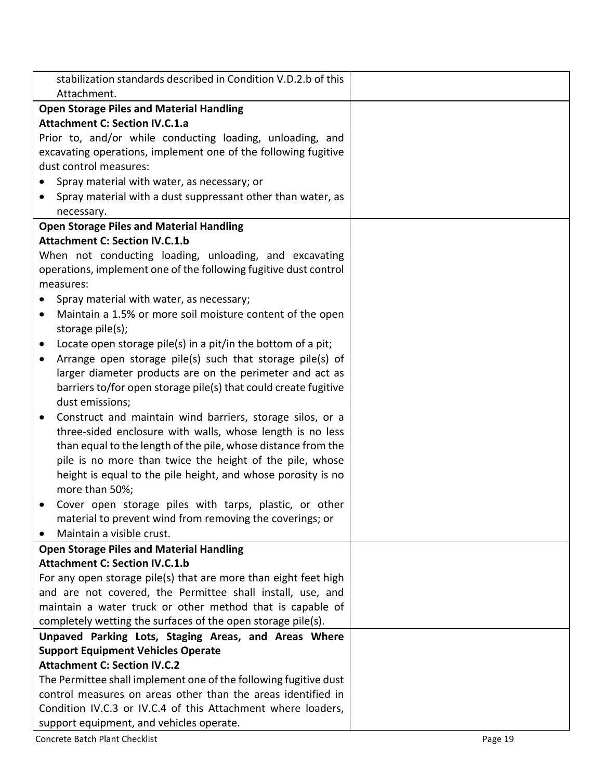| stabilization standards described in Condition V.D.2.b of this<br>Attachment. |  |
|-------------------------------------------------------------------------------|--|
| <b>Open Storage Piles and Material Handling</b>                               |  |
| <b>Attachment C: Section IV.C.1.a</b>                                         |  |
| Prior to, and/or while conducting loading, unloading, and                     |  |
| excavating operations, implement one of the following fugitive                |  |
| dust control measures:                                                        |  |
| Spray material with water, as necessary; or                                   |  |
| Spray material with a dust suppressant other than water, as                   |  |
| necessary.                                                                    |  |
| <b>Open Storage Piles and Material Handling</b>                               |  |
| <b>Attachment C: Section IV.C.1.b</b>                                         |  |
| When not conducting loading, unloading, and excavating                        |  |
| operations, implement one of the following fugitive dust control              |  |
| measures:                                                                     |  |
| Spray material with water, as necessary;                                      |  |
| Maintain a 1.5% or more soil moisture content of the open<br>$\bullet$        |  |
| storage pile(s);                                                              |  |
| Locate open storage pile(s) in a pit/in the bottom of a pit;<br>$\bullet$     |  |
| Arrange open storage pile(s) such that storage pile(s) of                     |  |
| larger diameter products are on the perimeter and act as                      |  |
| barriers to/for open storage pile(s) that could create fugitive               |  |
| dust emissions;                                                               |  |
| Construct and maintain wind barriers, storage silos, or a<br>٠                |  |
| three-sided enclosure with walls, whose length is no less                     |  |
| than equal to the length of the pile, whose distance from the                 |  |
| pile is no more than twice the height of the pile, whose                      |  |
| height is equal to the pile height, and whose porosity is no                  |  |
| more than 50%;                                                                |  |
| Cover open storage piles with tarps, plastic, or other                        |  |
| material to prevent wind from removing the coverings; or                      |  |
| Maintain a visible crust.                                                     |  |
| <b>Open Storage Piles and Material Handling</b>                               |  |
| <b>Attachment C: Section IV.C.1.b</b>                                         |  |
| For any open storage pile(s) that are more than eight feet high               |  |
| and are not covered, the Permittee shall install, use, and                    |  |
| maintain a water truck or other method that is capable of                     |  |
| completely wetting the surfaces of the open storage pile(s).                  |  |
| Unpaved Parking Lots, Staging Areas, and Areas Where                          |  |
| <b>Support Equipment Vehicles Operate</b>                                     |  |
| <b>Attachment C: Section IV.C.2</b>                                           |  |
| The Permittee shall implement one of the following fugitive dust              |  |
| control measures on areas other than the areas identified in                  |  |
| Condition IV.C.3 or IV.C.4 of this Attachment where loaders,                  |  |
| support equipment, and vehicles operate.                                      |  |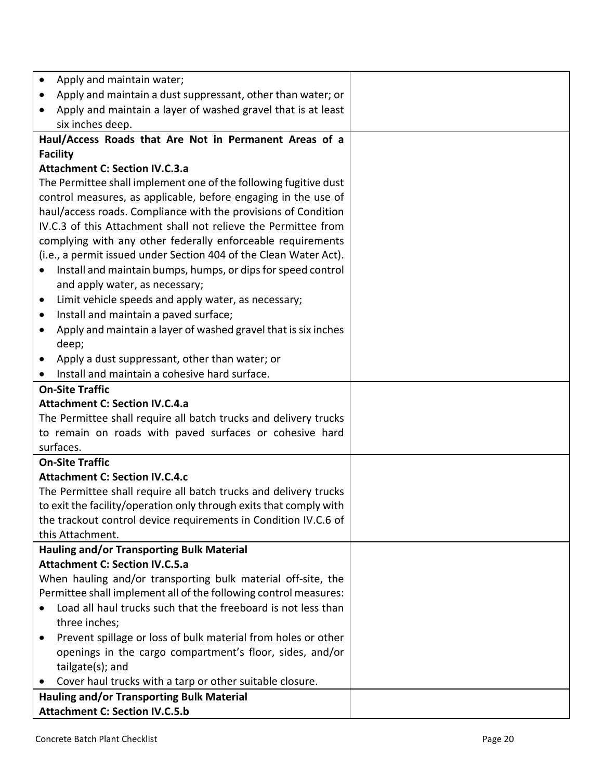| Apply and maintain water;<br>$\bullet$                                              |  |
|-------------------------------------------------------------------------------------|--|
| Apply and maintain a dust suppressant, other than water; or<br>$\bullet$            |  |
| Apply and maintain a layer of washed gravel that is at least<br>$\bullet$           |  |
| six inches deep.                                                                    |  |
| Haul/Access Roads that Are Not in Permanent Areas of a                              |  |
| <b>Facility</b>                                                                     |  |
| <b>Attachment C: Section IV.C.3.a</b>                                               |  |
| The Permittee shall implement one of the following fugitive dust                    |  |
| control measures, as applicable, before engaging in the use of                      |  |
| haul/access roads. Compliance with the provisions of Condition                      |  |
| IV.C.3 of this Attachment shall not relieve the Permittee from                      |  |
| complying with any other federally enforceable requirements                         |  |
| (i.e., a permit issued under Section 404 of the Clean Water Act).                   |  |
| Install and maintain bumps, humps, or dips for speed control<br>$\bullet$           |  |
| and apply water, as necessary;                                                      |  |
| Limit vehicle speeds and apply water, as necessary;<br>$\bullet$                    |  |
| Install and maintain a paved surface;<br>$\bullet$                                  |  |
| Apply and maintain a layer of washed gravel that is six inches<br>$\bullet$         |  |
| deep;                                                                               |  |
| Apply a dust suppressant, other than water; or<br>$\bullet$                         |  |
| Install and maintain a cohesive hard surface.<br>$\bullet$                          |  |
| <b>On-Site Traffic</b>                                                              |  |
| <b>Attachment C: Section IV.C.4.a</b>                                               |  |
| The Permittee shall require all batch trucks and delivery trucks                    |  |
| to remain on roads with paved surfaces or cohesive hard                             |  |
| surfaces.                                                                           |  |
| <b>On-Site Traffic</b>                                                              |  |
| <b>Attachment C: Section IV.C.4.c</b>                                               |  |
| The Permittee shall require all batch trucks and delivery trucks                    |  |
| to exit the facility/operation only through exits that comply with                  |  |
| the trackout control device requirements in Condition IV.C.6 of<br>this Attachment. |  |
| Hauling and/or Transporting Bulk Material                                           |  |
| <b>Attachment C: Section IV.C.5.a</b>                                               |  |
| When hauling and/or transporting bulk material off-site, the                        |  |
| Permittee shall implement all of the following control measures:                    |  |
| Load all haul trucks such that the freeboard is not less than                       |  |
| three inches;                                                                       |  |
| Prevent spillage or loss of bulk material from holes or other<br>$\bullet$          |  |
| openings in the cargo compartment's floor, sides, and/or                            |  |
| tailgate(s); and                                                                    |  |
| Cover haul trucks with a tarp or other suitable closure.<br>$\bullet$               |  |
| Hauling and/or Transporting Bulk Material                                           |  |
| <b>Attachment C: Section IV.C.5.b</b>                                               |  |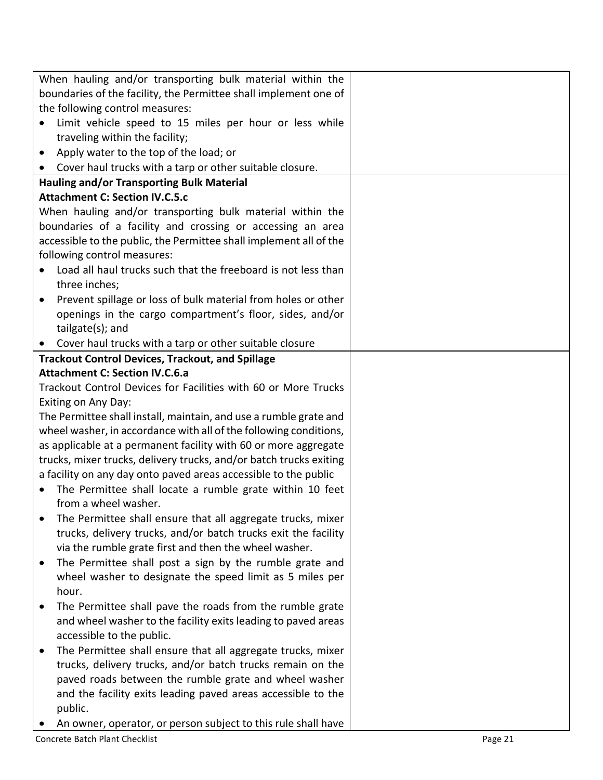| When hauling and/or transporting bulk material within the                  |  |
|----------------------------------------------------------------------------|--|
| boundaries of the facility, the Permittee shall implement one of           |  |
| the following control measures:                                            |  |
| Limit vehicle speed to 15 miles per hour or less while                     |  |
| traveling within the facility;                                             |  |
| Apply water to the top of the load; or<br>$\bullet$                        |  |
| • Cover haul trucks with a tarp or other suitable closure.                 |  |
| <b>Hauling and/or Transporting Bulk Material</b>                           |  |
| <b>Attachment C: Section IV.C.5.c</b>                                      |  |
| When hauling and/or transporting bulk material within the                  |  |
| boundaries of a facility and crossing or accessing an area                 |  |
| accessible to the public, the Permittee shall implement all of the         |  |
| following control measures:                                                |  |
| Load all haul trucks such that the freeboard is not less than              |  |
| three inches;                                                              |  |
| Prevent spillage or loss of bulk material from holes or other<br>$\bullet$ |  |
| openings in the cargo compartment's floor, sides, and/or                   |  |
| tailgate(s); and                                                           |  |
| Cover haul trucks with a tarp or other suitable closure                    |  |
| <b>Trackout Control Devices, Trackout, and Spillage</b>                    |  |
| <b>Attachment C: Section IV.C.6.a</b>                                      |  |
| Trackout Control Devices for Facilities with 60 or More Trucks             |  |
| Exiting on Any Day:                                                        |  |
| The Permittee shall install, maintain, and use a rumble grate and          |  |
| wheel washer, in accordance with all of the following conditions,          |  |
| as applicable at a permanent facility with 60 or more aggregate            |  |
| trucks, mixer trucks, delivery trucks, and/or batch trucks exiting         |  |
| a facility on any day onto paved areas accessible to the public            |  |
| The Permittee shall locate a rumble grate within 10 feet                   |  |
| from a wheel washer.                                                       |  |
| The Permittee shall ensure that all aggregate trucks, mixer                |  |
| trucks, delivery trucks, and/or batch trucks exit the facility             |  |
| via the rumble grate first and then the wheel washer.                      |  |
| The Permittee shall post a sign by the rumble grate and                    |  |
| wheel washer to designate the speed limit as 5 miles per                   |  |
| hour.                                                                      |  |
| The Permittee shall pave the roads from the rumble grate                   |  |
| and wheel washer to the facility exits leading to paved areas              |  |
| accessible to the public.                                                  |  |
| The Permittee shall ensure that all aggregate trucks, mixer                |  |
| trucks, delivery trucks, and/or batch trucks remain on the                 |  |
| paved roads between the rumble grate and wheel washer                      |  |
| and the facility exits leading paved areas accessible to the               |  |
| public.                                                                    |  |
| An owner, operator, or person subject to this rule shall have              |  |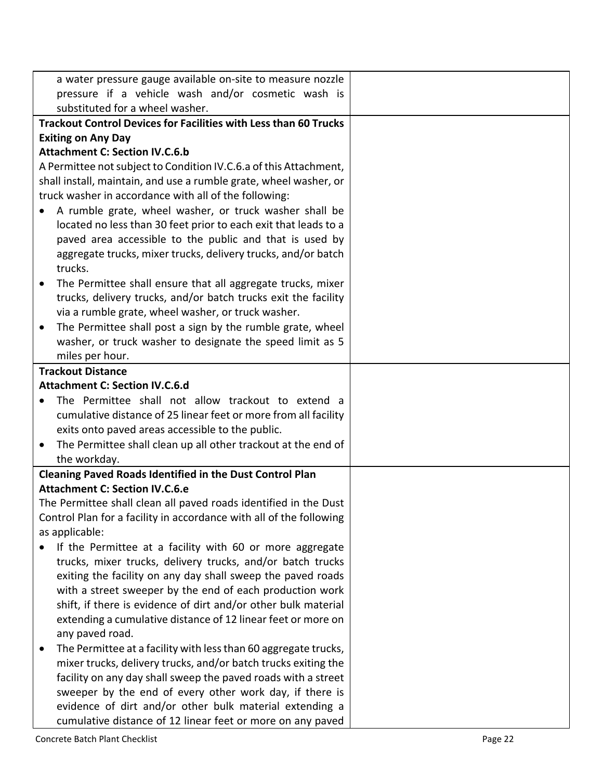| a water pressure gauge available on-site to measure nozzle                                                          |  |
|---------------------------------------------------------------------------------------------------------------------|--|
| pressure if a vehicle wash and/or cosmetic wash is                                                                  |  |
| substituted for a wheel washer.                                                                                     |  |
| <b>Trackout Control Devices for Facilities with Less than 60 Trucks</b>                                             |  |
| <b>Exiting on Any Day</b>                                                                                           |  |
| <b>Attachment C: Section IV.C.6.b</b>                                                                               |  |
| A Permittee not subject to Condition IV.C.6.a of this Attachment,                                                   |  |
| shall install, maintain, and use a rumble grate, wheel washer, or                                                   |  |
| truck washer in accordance with all of the following:                                                               |  |
| A rumble grate, wheel washer, or truck washer shall be<br>$\bullet$                                                 |  |
| located no less than 30 feet prior to each exit that leads to a                                                     |  |
| paved area accessible to the public and that is used by                                                             |  |
| aggregate trucks, mixer trucks, delivery trucks, and/or batch                                                       |  |
| trucks.                                                                                                             |  |
| The Permittee shall ensure that all aggregate trucks, mixer                                                         |  |
| trucks, delivery trucks, and/or batch trucks exit the facility                                                      |  |
| via a rumble grate, wheel washer, or truck washer.                                                                  |  |
| The Permittee shall post a sign by the rumble grate, wheel<br>$\bullet$                                             |  |
| washer, or truck washer to designate the speed limit as 5                                                           |  |
| miles per hour.                                                                                                     |  |
| <b>Trackout Distance</b>                                                                                            |  |
| <b>Attachment C: Section IV.C.6.d</b>                                                                               |  |
| The Permittee shall not allow trackout to extend a                                                                  |  |
| cumulative distance of 25 linear feet or more from all facility<br>exits onto paved areas accessible to the public. |  |
| The Permittee shall clean up all other trackout at the end of<br>$\bullet$                                          |  |
| the workday.                                                                                                        |  |
| <b>Cleaning Paved Roads Identified in the Dust Control Plan</b>                                                     |  |
| <b>Attachment C: Section IV.C.6.e</b>                                                                               |  |
| The Permittee shall clean all paved roads identified in the Dust                                                    |  |
| Control Plan for a facility in accordance with all of the following                                                 |  |
| as applicable:                                                                                                      |  |
| If the Permittee at a facility with 60 or more aggregate<br>$\bullet$                                               |  |
| trucks, mixer trucks, delivery trucks, and/or batch trucks                                                          |  |
| exiting the facility on any day shall sweep the paved roads                                                         |  |
| with a street sweeper by the end of each production work                                                            |  |
| shift, if there is evidence of dirt and/or other bulk material                                                      |  |
| extending a cumulative distance of 12 linear feet or more on                                                        |  |
| any paved road.                                                                                                     |  |
| The Permittee at a facility with less than 60 aggregate trucks,<br>٠                                                |  |
| mixer trucks, delivery trucks, and/or batch trucks exiting the                                                      |  |
| facility on any day shall sweep the paved roads with a street                                                       |  |
| sweeper by the end of every other work day, if there is                                                             |  |
| evidence of dirt and/or other bulk material extending a                                                             |  |
| cumulative distance of 12 linear feet or more on any paved                                                          |  |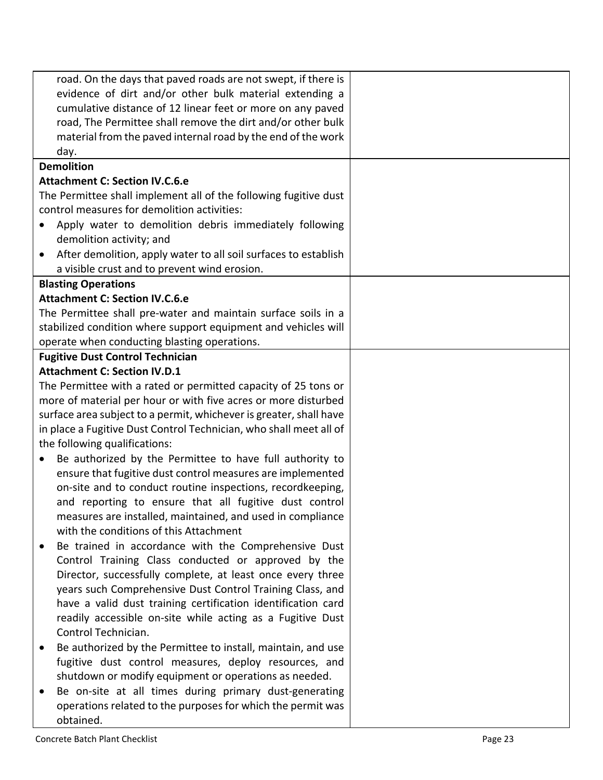| road. On the days that paved roads are not swept, if there is                |  |
|------------------------------------------------------------------------------|--|
| evidence of dirt and/or other bulk material extending a                      |  |
| cumulative distance of 12 linear feet or more on any paved                   |  |
| road, The Permittee shall remove the dirt and/or other bulk                  |  |
| material from the paved internal road by the end of the work                 |  |
| day.                                                                         |  |
| <b>Demolition</b>                                                            |  |
| <b>Attachment C: Section IV.C.6.e</b>                                        |  |
| The Permittee shall implement all of the following fugitive dust             |  |
| control measures for demolition activities:                                  |  |
| Apply water to demolition debris immediately following                       |  |
| demolition activity; and                                                     |  |
| After demolition, apply water to all soil surfaces to establish<br>$\bullet$ |  |
| a visible crust and to prevent wind erosion.                                 |  |
| <b>Blasting Operations</b>                                                   |  |
| <b>Attachment C: Section IV.C.6.e</b>                                        |  |
| The Permittee shall pre-water and maintain surface soils in a                |  |
| stabilized condition where support equipment and vehicles will               |  |
| operate when conducting blasting operations.                                 |  |
| <b>Fugitive Dust Control Technician</b>                                      |  |
| <b>Attachment C: Section IV.D.1</b>                                          |  |
| The Permittee with a rated or permitted capacity of 25 tons or               |  |
| more of material per hour or with five acres or more disturbed               |  |
| surface area subject to a permit, whichever is greater, shall have           |  |
| in place a Fugitive Dust Control Technician, who shall meet all of           |  |
| the following qualifications:                                                |  |
| Be authorized by the Permittee to have full authority to<br>$\bullet$        |  |
| ensure that fugitive dust control measures are implemented                   |  |
| on-site and to conduct routine inspections, recordkeeping,                   |  |
| and reporting to ensure that all fugitive dust control                       |  |
| measures are installed, maintained, and used in compliance                   |  |
| with the conditions of this Attachment                                       |  |
| Be trained in accordance with the Comprehensive Dust<br>٠                    |  |
| Control Training Class conducted or approved by the                          |  |
| Director, successfully complete, at least once every three                   |  |
| years such Comprehensive Dust Control Training Class, and                    |  |
| have a valid dust training certification identification card                 |  |
| readily accessible on-site while acting as a Fugitive Dust                   |  |
| Control Technician.                                                          |  |
| Be authorized by the Permittee to install, maintain, and use                 |  |
| fugitive dust control measures, deploy resources, and                        |  |
| shutdown or modify equipment or operations as needed.                        |  |
| Be on-site at all times during primary dust-generating                       |  |
| operations related to the purposes for which the permit was                  |  |
| obtained.                                                                    |  |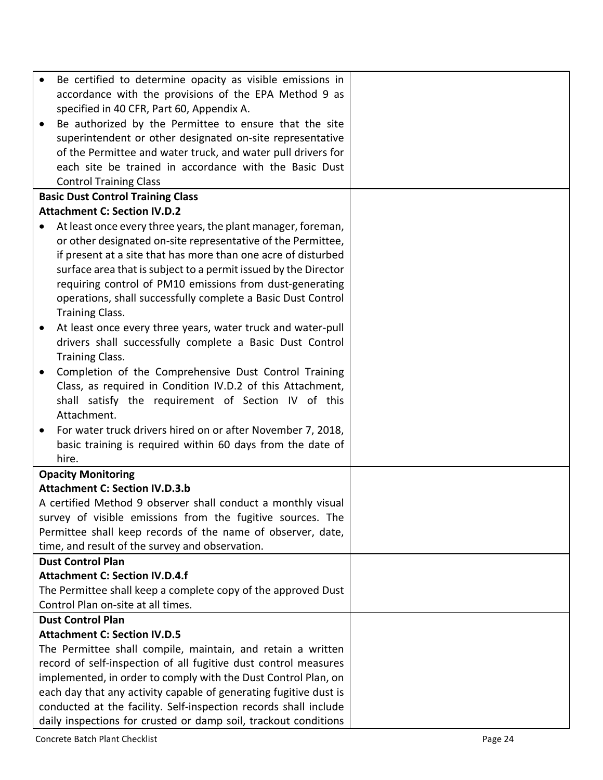| Be certified to determine opacity as visible emissions in         |  |
|-------------------------------------------------------------------|--|
| accordance with the provisions of the EPA Method 9 as             |  |
| specified in 40 CFR, Part 60, Appendix A.                         |  |
| Be authorized by the Permittee to ensure that the site            |  |
| superintendent or other designated on-site representative         |  |
| of the Permittee and water truck, and water pull drivers for      |  |
| each site be trained in accordance with the Basic Dust            |  |
| <b>Control Training Class</b>                                     |  |
| <b>Basic Dust Control Training Class</b>                          |  |
| <b>Attachment C: Section IV.D.2</b>                               |  |
| At least once every three years, the plant manager, foreman,      |  |
| or other designated on-site representative of the Permittee,      |  |
| if present at a site that has more than one acre of disturbed     |  |
| surface area that is subject to a permit issued by the Director   |  |
| requiring control of PM10 emissions from dust-generating          |  |
| operations, shall successfully complete a Basic Dust Control      |  |
| <b>Training Class.</b>                                            |  |
| At least once every three years, water truck and water-pull       |  |
| drivers shall successfully complete a Basic Dust Control          |  |
| <b>Training Class.</b>                                            |  |
| Completion of the Comprehensive Dust Control Training             |  |
| Class, as required in Condition IV.D.2 of this Attachment,        |  |
| shall satisfy the requirement of Section IV of this               |  |
| Attachment.                                                       |  |
| For water truck drivers hired on or after November 7, 2018,       |  |
| basic training is required within 60 days from the date of        |  |
| hire.                                                             |  |
| <b>Opacity Monitoring</b>                                         |  |
| <b>Attachment C: Section IV.D.3.b</b>                             |  |
| A certified Method 9 observer shall conduct a monthly visual      |  |
| survey of visible emissions from the fugitive sources. The        |  |
| Permittee shall keep records of the name of observer, date,       |  |
| time, and result of the survey and observation.                   |  |
| <b>Dust Control Plan</b>                                          |  |
| <b>Attachment C: Section IV.D.4.f</b>                             |  |
| The Permittee shall keep a complete copy of the approved Dust     |  |
| Control Plan on-site at all times.                                |  |
| <b>Dust Control Plan</b>                                          |  |
| <b>Attachment C: Section IV.D.5</b>                               |  |
| The Permittee shall compile, maintain, and retain a written       |  |
| record of self-inspection of all fugitive dust control measures   |  |
| implemented, in order to comply with the Dust Control Plan, on    |  |
| each day that any activity capable of generating fugitive dust is |  |
| conducted at the facility. Self-inspection records shall include  |  |
| daily inspections for crusted or damp soil, trackout conditions   |  |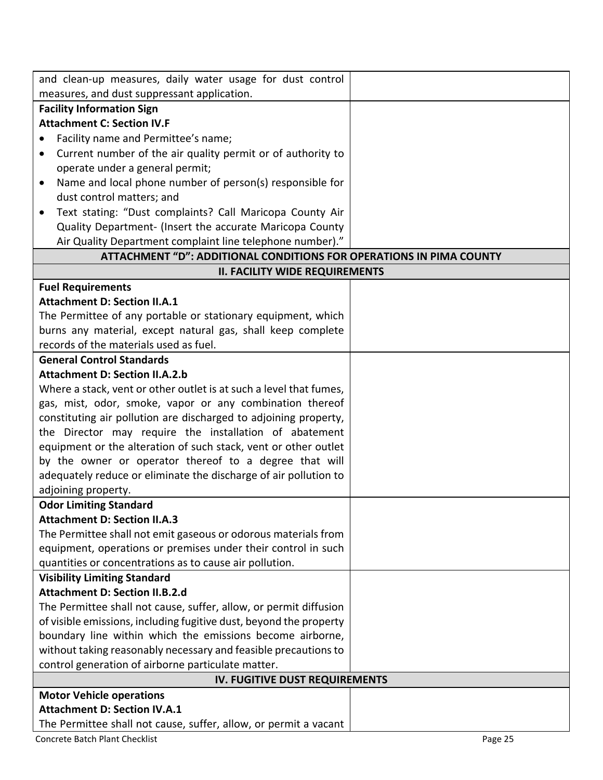| and clean-up measures, daily water usage for dust control           |  |  |
|---------------------------------------------------------------------|--|--|
| measures, and dust suppressant application.                         |  |  |
| <b>Facility Information Sign</b>                                    |  |  |
| <b>Attachment C: Section IV.F</b>                                   |  |  |
| Facility name and Permittee's name;                                 |  |  |
| Current number of the air quality permit or of authority to<br>٠    |  |  |
| operate under a general permit;                                     |  |  |
| Name and local phone number of person(s) responsible for<br>٠       |  |  |
| dust control matters; and                                           |  |  |
| Text stating: "Dust complaints? Call Maricopa County Air            |  |  |
| Quality Department- (Insert the accurate Maricopa County            |  |  |
| Air Quality Department complaint line telephone number)."           |  |  |
| ATTACHMENT "D": ADDITIONAL CONDITIONS FOR OPERATIONS IN PIMA COUNTY |  |  |
| <b>II. FACILITY WIDE REQUIREMENTS</b>                               |  |  |
| <b>Fuel Requirements</b>                                            |  |  |
| <b>Attachment D: Section II.A.1</b>                                 |  |  |
| The Permittee of any portable or stationary equipment, which        |  |  |
| burns any material, except natural gas, shall keep complete         |  |  |
| records of the materials used as fuel.                              |  |  |
| <b>General Control Standards</b>                                    |  |  |
| <b>Attachment D: Section II.A.2.b</b>                               |  |  |
| Where a stack, vent or other outlet is at such a level that fumes,  |  |  |
| gas, mist, odor, smoke, vapor or any combination thereof            |  |  |
| constituting air pollution are discharged to adjoining property,    |  |  |
| the Director may require the installation of abatement              |  |  |
| equipment or the alteration of such stack, vent or other outlet     |  |  |
| by the owner or operator thereof to a degree that will              |  |  |
| adequately reduce or eliminate the discharge of air pollution to    |  |  |
| adjoining property.                                                 |  |  |
| <b>Odor Limiting Standard</b>                                       |  |  |
| <b>Attachment D: Section II.A.3</b>                                 |  |  |
| The Permittee shall not emit gaseous or odorous materials from      |  |  |
| equipment, operations or premises under their control in such       |  |  |
| quantities or concentrations as to cause air pollution.             |  |  |
| <b>Visibility Limiting Standard</b>                                 |  |  |
| <b>Attachment D: Section II.B.2.d</b>                               |  |  |
| The Permittee shall not cause, suffer, allow, or permit diffusion   |  |  |
| of visible emissions, including fugitive dust, beyond the property  |  |  |
| boundary line within which the emissions become airborne,           |  |  |
| without taking reasonably necessary and feasible precautions to     |  |  |
| control generation of airborne particulate matter.                  |  |  |
| IV. FUGITIVE DUST REQUIREMENTS                                      |  |  |
| <b>Motor Vehicle operations</b>                                     |  |  |
| <b>Attachment D: Section IV.A.1</b>                                 |  |  |
| The Permittee shall not cause, suffer, allow, or permit a vacant    |  |  |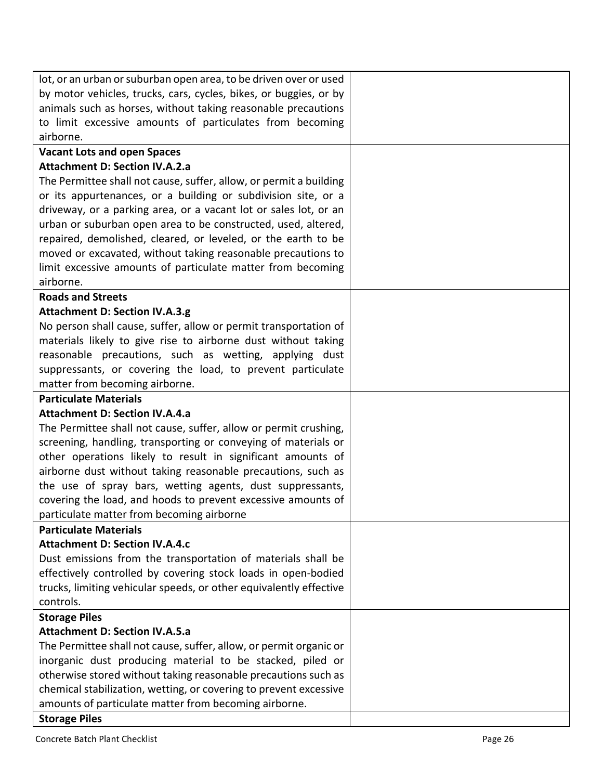| lot, or an urban or suburban open area, to be driven over or used  |  |
|--------------------------------------------------------------------|--|
| by motor vehicles, trucks, cars, cycles, bikes, or buggies, or by  |  |
| animals such as horses, without taking reasonable precautions      |  |
| to limit excessive amounts of particulates from becoming           |  |
| airborne.                                                          |  |
| <b>Vacant Lots and open Spaces</b>                                 |  |
| <b>Attachment D: Section IV.A.2.a</b>                              |  |
| The Permittee shall not cause, suffer, allow, or permit a building |  |
| or its appurtenances, or a building or subdivision site, or a      |  |
| driveway, or a parking area, or a vacant lot or sales lot, or an   |  |
| urban or suburban open area to be constructed, used, altered,      |  |
| repaired, demolished, cleared, or leveled, or the earth to be      |  |
| moved or excavated, without taking reasonable precautions to       |  |
| limit excessive amounts of particulate matter from becoming        |  |
| airborne.                                                          |  |
| <b>Roads and Streets</b>                                           |  |
| <b>Attachment D: Section IV.A.3.g</b>                              |  |
| No person shall cause, suffer, allow or permit transportation of   |  |
| materials likely to give rise to airborne dust without taking      |  |
| reasonable precautions, such as wetting, applying dust             |  |
| suppressants, or covering the load, to prevent particulate         |  |
| matter from becoming airborne.                                     |  |
| <b>Particulate Materials</b>                                       |  |
| <b>Attachment D: Section IV.A.4.a</b>                              |  |
| The Permittee shall not cause, suffer, allow or permit crushing,   |  |
| screening, handling, transporting or conveying of materials or     |  |
| other operations likely to result in significant amounts of        |  |
| airborne dust without taking reasonable precautions, such as       |  |
| the use of spray bars, wetting agents, dust suppressants,          |  |
| covering the load, and hoods to prevent excessive amounts of       |  |
| particulate matter from becoming airborne                          |  |
| <b>Particulate Materials</b>                                       |  |
| <b>Attachment D: Section IV.A.4.c</b>                              |  |
| Dust emissions from the transportation of materials shall be       |  |
| effectively controlled by covering stock loads in open-bodied      |  |
| trucks, limiting vehicular speeds, or other equivalently effective |  |
| controls.                                                          |  |
| <b>Storage Piles</b>                                               |  |
| <b>Attachment D: Section IV.A.5.a</b>                              |  |
| The Permittee shall not cause, suffer, allow, or permit organic or |  |
| inorganic dust producing material to be stacked, piled or          |  |
| otherwise stored without taking reasonable precautions such as     |  |
| chemical stabilization, wetting, or covering to prevent excessive  |  |
| amounts of particulate matter from becoming airborne.              |  |
| <b>Storage Piles</b>                                               |  |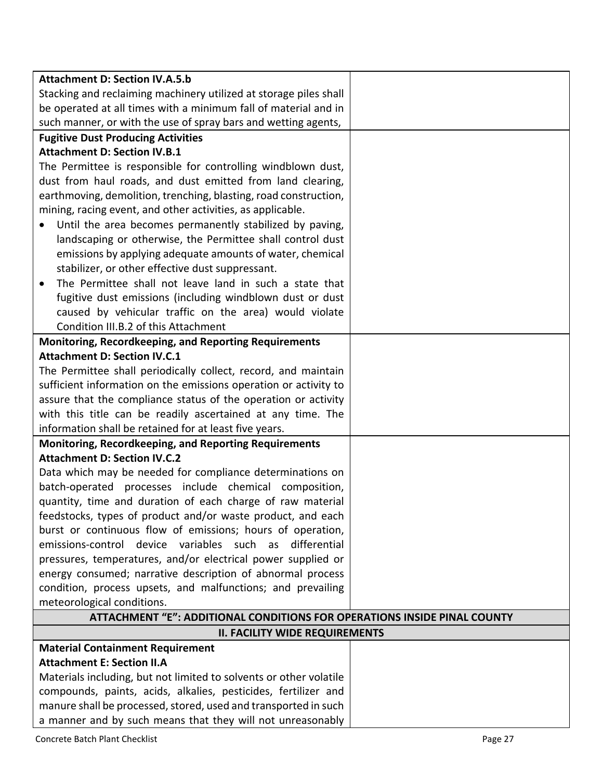| <b>Attachment D: Section IV.A.5.b</b>                                    |  |
|--------------------------------------------------------------------------|--|
| Stacking and reclaiming machinery utilized at storage piles shall        |  |
| be operated at all times with a minimum fall of material and in          |  |
| such manner, or with the use of spray bars and wetting agents,           |  |
| <b>Fugitive Dust Producing Activities</b>                                |  |
| <b>Attachment D: Section IV.B.1</b>                                      |  |
| The Permittee is responsible for controlling windblown dust,             |  |
| dust from haul roads, and dust emitted from land clearing,               |  |
| earthmoving, demolition, trenching, blasting, road construction,         |  |
| mining, racing event, and other activities, as applicable.               |  |
| Until the area becomes permanently stabilized by paving,                 |  |
| landscaping or otherwise, the Permittee shall control dust               |  |
| emissions by applying adequate amounts of water, chemical                |  |
| stabilizer, or other effective dust suppressant.                         |  |
| The Permittee shall not leave land in such a state that<br>$\bullet$     |  |
| fugitive dust emissions (including windblown dust or dust                |  |
| caused by vehicular traffic on the area) would violate                   |  |
| Condition III.B.2 of this Attachment                                     |  |
| Monitoring, Recordkeeping, and Reporting Requirements                    |  |
| <b>Attachment D: Section IV.C.1</b>                                      |  |
| The Permittee shall periodically collect, record, and maintain           |  |
| sufficient information on the emissions operation or activity to         |  |
| assure that the compliance status of the operation or activity           |  |
| with this title can be readily ascertained at any time. The              |  |
| information shall be retained for at least five years.                   |  |
| <b>Monitoring, Recordkeeping, and Reporting Requirements</b>             |  |
| <b>Attachment D: Section IV.C.2</b>                                      |  |
| Data which may be needed for compliance determinations on                |  |
| batch-operated processes include chemical composition,                   |  |
| quantity, time and duration of each charge of raw material               |  |
| feedstocks, types of product and/or waste product, and each              |  |
| burst or continuous flow of emissions; hours of operation,               |  |
| emissions-control device variables such as<br>differential               |  |
| pressures, temperatures, and/or electrical power supplied or             |  |
| energy consumed; narrative description of abnormal process               |  |
| condition, process upsets, and malfunctions; and prevailing              |  |
| meteorological conditions.                                               |  |
| ATTACHMENT "E": ADDITIONAL CONDITIONS FOR OPERATIONS INSIDE PINAL COUNTY |  |
| <b>II. FACILITY WIDE REQUIREMENTS</b>                                    |  |
| <b>Material Containment Requirement</b>                                  |  |
| <b>Attachment E: Section II.A</b>                                        |  |
| Materials including, but not limited to solvents or other volatile       |  |
| compounds, paints, acids, alkalies, pesticides, fertilizer and           |  |
| manure shall be processed, stored, used and transported in such          |  |
| a manner and by such means that they will not unreasonably               |  |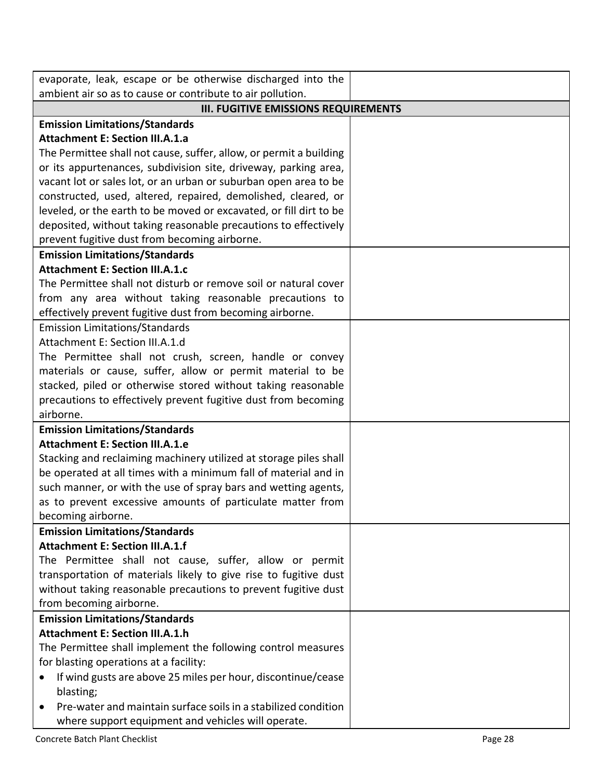| evaporate, leak, escape or be otherwise discharged into the                     |  |  |
|---------------------------------------------------------------------------------|--|--|
| ambient air so as to cause or contribute to air pollution.                      |  |  |
| <b>III. FUGITIVE EMISSIONS REQUIREMENTS</b>                                     |  |  |
| <b>Emission Limitations/Standards</b>                                           |  |  |
| <b>Attachment E: Section III.A.1.a</b>                                          |  |  |
| The Permittee shall not cause, suffer, allow, or permit a building              |  |  |
| or its appurtenances, subdivision site, driveway, parking area,                 |  |  |
| vacant lot or sales lot, or an urban or suburban open area to be                |  |  |
| constructed, used, altered, repaired, demolished, cleared, or                   |  |  |
| leveled, or the earth to be moved or excavated, or fill dirt to be              |  |  |
| deposited, without taking reasonable precautions to effectively                 |  |  |
| prevent fugitive dust from becoming airborne.                                   |  |  |
| <b>Emission Limitations/Standards</b><br><b>Attachment E: Section III.A.1.c</b> |  |  |
| The Permittee shall not disturb or remove soil or natural cover                 |  |  |
| from any area without taking reasonable precautions to                          |  |  |
| effectively prevent fugitive dust from becoming airborne.                       |  |  |
| <b>Emission Limitations/Standards</b>                                           |  |  |
| Attachment E: Section III.A.1.d                                                 |  |  |
| The Permittee shall not crush, screen, handle or convey                         |  |  |
| materials or cause, suffer, allow or permit material to be                      |  |  |
| stacked, piled or otherwise stored without taking reasonable                    |  |  |
| precautions to effectively prevent fugitive dust from becoming                  |  |  |
| airborne.                                                                       |  |  |
| <b>Emission Limitations/Standards</b>                                           |  |  |
| <b>Attachment E: Section III.A.1.e</b>                                          |  |  |
| Stacking and reclaiming machinery utilized at storage piles shall               |  |  |
| be operated at all times with a minimum fall of material and in                 |  |  |
| such manner, or with the use of spray bars and wetting agents,                  |  |  |
| as to prevent excessive amounts of particulate matter from                      |  |  |
| becoming airborne.                                                              |  |  |
| <b>Emission Limitations/Standards</b>                                           |  |  |
| <b>Attachment E: Section III.A.1.f</b>                                          |  |  |
| The Permittee shall not cause, suffer, allow or permit                          |  |  |
| transportation of materials likely to give rise to fugitive dust                |  |  |
| without taking reasonable precautions to prevent fugitive dust                  |  |  |
| from becoming airborne.                                                         |  |  |
| <b>Emission Limitations/Standards</b>                                           |  |  |
| <b>Attachment E: Section III.A.1.h</b>                                          |  |  |
| The Permittee shall implement the following control measures                    |  |  |
| for blasting operations at a facility:                                          |  |  |
| If wind gusts are above 25 miles per hour, discontinue/cease<br>blasting;       |  |  |
| Pre-water and maintain surface soils in a stabilized condition                  |  |  |
| where support equipment and vehicles will operate.                              |  |  |